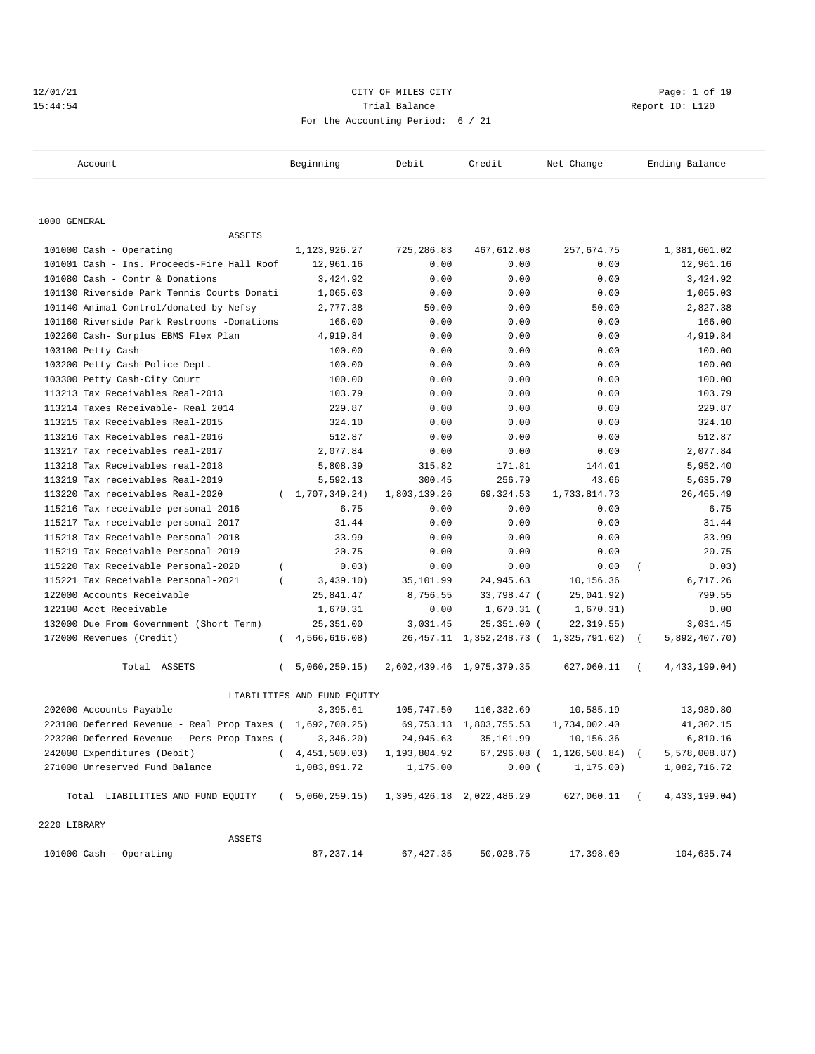## 12/01/21 CITY OF MILES CITY Page: 1 of 19 15:44:54 Trial Balance Report ID: L120 For the Accounting Period: 6 / 21

| Account                                                   | Beginning                                  | Debit        | Credit                      | Net Change                               | Ending Balance              |
|-----------------------------------------------------------|--------------------------------------------|--------------|-----------------------------|------------------------------------------|-----------------------------|
|                                                           |                                            |              |                             |                                          |                             |
| 1000 GENERAL                                              |                                            |              |                             |                                          |                             |
| ASSETS                                                    |                                            |              |                             |                                          |                             |
| 101000 Cash - Operating                                   | 1, 123, 926. 27                            | 725,286.83   | 467,612.08                  | 257,674.75                               | 1,381,601.02                |
| 101001 Cash - Ins. Proceeds-Fire Hall Roof                | 12,961.16                                  | 0.00         | 0.00                        | 0.00                                     | 12,961.16                   |
| 101080 Cash - Contr & Donations                           | 3,424.92                                   | 0.00         | 0.00                        | 0.00                                     | 3,424.92                    |
| 101130 Riverside Park Tennis Courts Donati                | 1,065.03                                   | 0.00         | 0.00                        | 0.00                                     | 1,065.03                    |
| 101140 Animal Control/donated by Nefsy                    | 2,777.38                                   | 50.00        | 0.00                        | 50.00                                    | 2,827.38                    |
| 101160 Riverside Park Restrooms -Donations                | 166.00                                     | 0.00         | 0.00                        | 0.00                                     | 166.00                      |
| 102260 Cash- Surplus EBMS Flex Plan                       | 4,919.84                                   | 0.00         | 0.00                        | 0.00                                     | 4,919.84                    |
| 103100 Petty Cash-                                        | 100.00                                     | 0.00         | 0.00                        | 0.00                                     | 100.00                      |
| 103200 Petty Cash-Police Dept.                            | 100.00                                     | 0.00         | 0.00                        | 0.00                                     | 100.00                      |
| 103300 Petty Cash-City Court                              | 100.00                                     | 0.00         | 0.00                        | 0.00                                     | 100.00                      |
| 113213 Tax Receivables Real-2013                          | 103.79                                     | 0.00         | 0.00                        | 0.00                                     | 103.79                      |
| 113214 Taxes Receivable- Real 2014                        | 229.87                                     | 0.00         | 0.00                        | 0.00                                     | 229.87                      |
| 113215 Tax Receivables Real-2015                          | 324.10                                     | 0.00         | 0.00                        | 0.00                                     | 324.10                      |
| 113216 Tax Receivables real-2016                          | 512.87                                     | 0.00         | 0.00                        | 0.00                                     | 512.87                      |
| 113217 Tax receivables real-2017                          | 2,077.84                                   | 0.00         | 0.00                        | 0.00                                     | 2,077.84                    |
| 113218 Tax Receivables real-2018                          | 5,808.39                                   | 315.82       | 171.81                      | 144.01                                   | 5,952.40                    |
| 113219 Tax receivables Real-2019                          | 5,592.13                                   | 300.45       | 256.79                      | 43.66                                    | 5,635.79                    |
| 113220 Tax receivables Real-2020                          | (1, 707, 349.24)                           | 1,803,139.26 | 69,324.53                   | 1,733,814.73                             | 26, 465.49                  |
| 115216 Tax receivable personal-2016                       | 6.75                                       | 0.00         | 0.00                        | 0.00                                     | 6.75                        |
| 115217 Tax receivable personal-2017                       | 31.44                                      | 0.00         | 0.00                        | 0.00                                     | 31.44                       |
| 115218 Tax Receivable Personal-2018                       | 33.99                                      | 0.00         | 0.00                        | 0.00                                     | 33.99                       |
| 115219 Tax Receivable Personal-2019                       | 20.75                                      | 0.00         | 0.00                        | 0.00                                     | 20.75                       |
| 115220 Tax Receivable Personal-2020                       | 0.03)<br>$\left($                          | 0.00         | 0.00                        | 0.00                                     | 0.03)<br>$\left($           |
| 115221 Tax Receivable Personal-2021                       | 3,439.10)                                  | 35,101.99    | 24,945.63                   | 10,156.36                                | 6,717.26                    |
| 122000 Accounts Receivable                                | 25,841.47                                  | 8,756.55     | 33,798.47 (                 | 25,041.92)                               | 799.55                      |
| 122100 Acct Receivable                                    | 1,670.31                                   | 0.00         | $1,670.31$ (                | 1,670.31)                                | 0.00                        |
| 132000 Due From Government (Short Term)                   | 25, 351.00                                 | 3,031.45     | $25,351.00$ (               | 22, 319.55)                              | 3,031.45                    |
| 172000 Revenues (Credit)                                  | 4,566,616.08)<br>$\left($                  |              |                             | 26,457.11 1,352,248.73 ( 1,325,791.62) ( | 5,892,407.70)               |
| Total ASSETS                                              | 5,060,259.15)<br>$\left($                  |              | 2,602,439.46 1,975,379.35   | 627,060.11                               | 4, 433, 199.04)<br>$\left($ |
|                                                           | LIABILITIES AND FUND EQUITY                |              |                             |                                          |                             |
| 202000 Accounts Payable                                   | 3,395.61                                   | 105,747.50   | 116,332.69                  | 10,585.19                                | 13,980.80                   |
| 223100 Deferred Revenue - Real Prop Taxes ( 1,692,700.25) |                                            |              | 69, 753. 13 1, 803, 755. 53 | 1,734,002.40                             | 41,302.15                   |
| 223200 Deferred Revenue - Pers Prop Taxes (3,346.20)      |                                            |              | 24,945.63 35,101.99         | 10,156.36                                | 6,810.16                    |
| 242000 Expenditures (Debit)                               | $(4, 451, 500.03)$ 1, 193, 804.92          |              |                             | 67,296.08 ( 1,126,508.84) (              | 5,578,008.87)               |
| 271000 Unreserved Fund Balance                            | 1,083,891.72                               | 1,175.00     | 0.00(                       | 1, 175.00)                               | 1,082,716.72                |
| Total LIABILITIES AND FUND EQUITY                         | $(5,060,259.15)$ 1,395,426.18 2,022,486.29 |              |                             | 627,060.11 (                             | 4, 433, 199.04)             |
| 2220 LIBRARY                                              |                                            |              |                             |                                          |                             |
| ASSETS                                                    |                                            |              |                             |                                          |                             |
| 101000 Cash - Operating                                   | 87,237.14                                  | 67,427.35    | 50,028.75                   | 17,398.60                                | 104,635.74                  |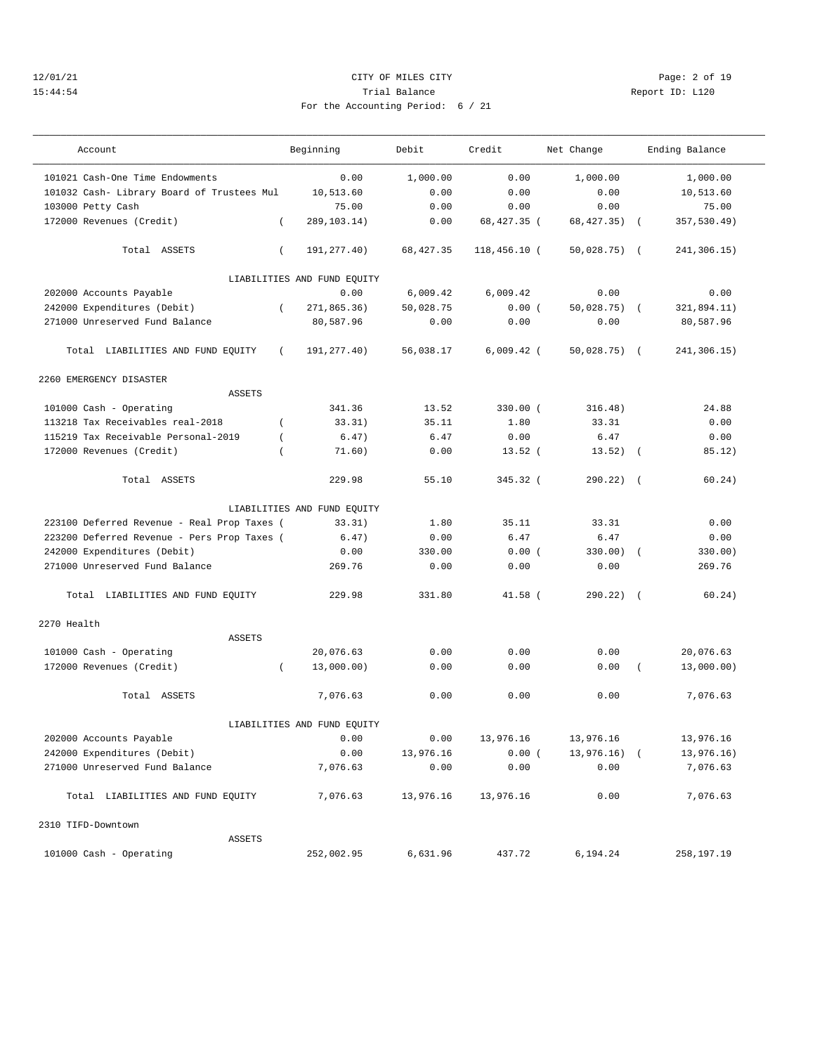## 12/01/21 CITY OF MILES CITY Page: 2 of 19 15:44:54 Trial Balance Report ID: L120 For the Accounting Period: 6 / 21

———————————————————————————————————————————————————————————————————————————————————————————————————————————————————————————————————

| Account                                     | Beginning                   | Debit      | Credit         | Net Change    | Ending Balance            |
|---------------------------------------------|-----------------------------|------------|----------------|---------------|---------------------------|
| 101021 Cash-One Time Endowments             | 0.00                        | 1,000.00   | 0.00           | 1,000.00      | 1,000.00                  |
| 101032 Cash- Library Board of Trustees Mul  | 10,513.60                   | 0.00       | 0.00           | 0.00          | 10,513.60                 |
| 103000 Petty Cash                           | 75.00                       | 0.00       | 0.00           | 0.00          | 75.00                     |
| 172000 Revenues (Credit)                    | 289,103.14)<br>$\left($     | 0.00       | 68,427.35 (    | 68, 427. 35)  | 357,530.49)<br>$\sqrt{2}$ |
| Total ASSETS                                | 191, 277.40)<br>$\left($    | 68, 427.35 | $118,456.10$ ( | $50,028.75$ ( | 241,306.15)               |
|                                             | LIABILITIES AND FUND EQUITY |            |                |               |                           |
| 202000 Accounts Payable                     | 0.00                        | 6,009.42   | 6,009.42       | 0.00          | 0.00                      |
| 242000 Expenditures (Debit)                 | 271,865.36)<br>$\left($     | 50,028.75  | 0.00(          | $50,028.75$ ( | 321,894.11)               |
| 271000 Unreserved Fund Balance              | 80,587.96                   | 0.00       | 0.00           | 0.00          | 80,587.96                 |
| Total LIABILITIES AND FUND EQUITY           | 191,277.40)<br>$\sqrt{2}$   | 56,038.17  | $6,009.42$ (   | $50,028.75$ ( | 241,306.15)               |
| 2260 EMERGENCY DISASTER                     |                             |            |                |               |                           |
| <b>ASSETS</b>                               |                             |            |                |               |                           |
| 101000 Cash - Operating                     | 341.36                      | 13.52      | 330.00 (       | 316.48)       | 24.88                     |
| 113218 Tax Receivables real-2018            | 33.31)<br>$\left($          | 35.11      | 1.80           | 33.31         | 0.00                      |
| 115219 Tax Receivable Personal-2019         | 6.47)<br>$\left($           | 6.47       | 0.00           | 6.47          | 0.00                      |
| 172000 Revenues (Credit)                    | 71.60)                      | 0.00       | $13.52$ (      | $13.52)$ (    | 85.12)                    |
| Total ASSETS                                | 229.98                      | 55.10      | 345.32 (       | $290.22)$ (   | 60.24)                    |
|                                             | LIABILITIES AND FUND EQUITY |            |                |               |                           |
| 223100 Deferred Revenue - Real Prop Taxes ( | 33.31)                      | 1.80       | 35.11          | 33.31         | 0.00                      |
| 223200 Deferred Revenue - Pers Prop Taxes ( | 6.47)                       | 0.00       | 6.47           | 6.47          | 0.00                      |
| 242000 Expenditures (Debit)                 | 0.00                        | 330.00     | 0.00(          | $330.00)$ (   | 330.00)                   |
| 271000 Unreserved Fund Balance              | 269.76                      | 0.00       | 0.00           | 0.00          | 269.76                    |
| Total LIABILITIES AND FUND EQUITY           | 229.98                      | 331.80     | $41.58$ (      | $290.22)$ (   | 60.24)                    |
| 2270 Health                                 |                             |            |                |               |                           |
| ASSETS                                      |                             |            |                |               |                           |
| 101000 Cash - Operating                     | 20,076.63                   | 0.00       | 0.00           | 0.00          | 20,076.63                 |
| 172000 Revenues (Credit)                    | 13,000.00)<br>$\left($      | 0.00       | 0.00           | 0.00          | 13,000.00)                |
| Total ASSETS                                | 7,076.63                    | 0.00       | 0.00           | 0.00          | 7,076.63                  |
|                                             | LIABILITIES AND FUND EQUITY |            |                |               |                           |
| 202000 Accounts Payable                     | 0.00                        | 0.00       | 13,976.16      | 13,976.16     | 13,976.16                 |
| 242000 Expenditures (Debit)                 | 0.00                        | 13,976.16  | 0.00(          | 13,976.16) (  | 13,976.16)                |
| 271000 Unreserved Fund Balance              | 7,076.63                    | 0.00       | 0.00           | 0.00          | 7,076.63                  |
| Total LIABILITIES AND FUND EQUITY           | 7,076.63                    | 13,976.16  | 13,976.16      | 0.00          | 7,076.63                  |
| 2310 TIFD-Downtown                          |                             |            |                |               |                           |
| ASSETS                                      |                             |            |                |               |                           |
| 101000 Cash - Operating                     | 252,002.95                  | 6,631.96   | 437.72         | 6,194.24      | 258,197.19                |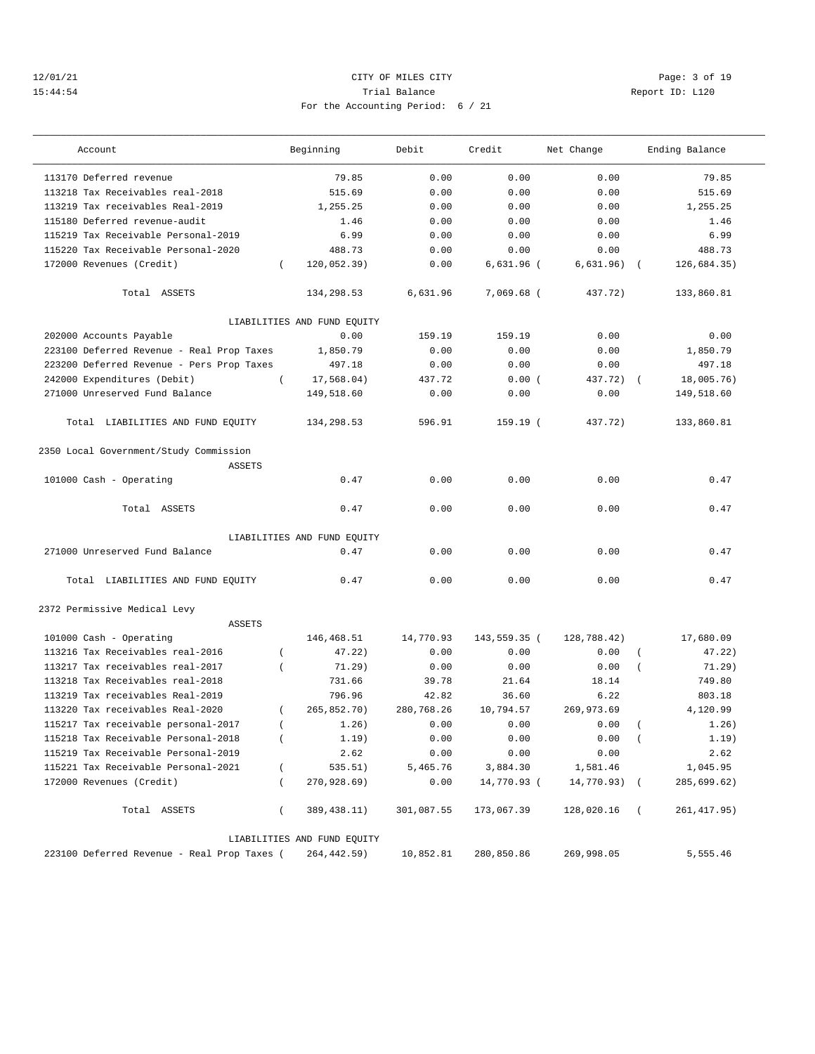## 12/01/21 CITY OF MILES CITY Page: 3 of 19 15:44:54 Trial Balance Report ID: L120 For the Accounting Period: 6 / 21

| Account                                                 |                  | Beginning                   | Debit      | Credit       | Net Change   |          | Ending Balance |
|---------------------------------------------------------|------------------|-----------------------------|------------|--------------|--------------|----------|----------------|
| 113170 Deferred revenue                                 |                  | 79.85                       | 0.00       | 0.00         | 0.00         |          | 79.85          |
| 113218 Tax Receivables real-2018                        |                  | 515.69                      | 0.00       | 0.00         | 0.00         |          | 515.69         |
| 113219 Tax receivables Real-2019                        |                  | 1,255.25                    | 0.00       | 0.00         | 0.00         |          | 1,255.25       |
| 115180 Deferred revenue-audit                           |                  | 1.46                        | 0.00       | 0.00         | 0.00         |          | 1.46           |
| 115219 Tax Receivable Personal-2019                     |                  | 6.99                        | 0.00       | 0.00         | 0.00         |          | 6.99           |
| 115220 Tax Receivable Personal-2020                     |                  | 488.73                      | 0.00       | 0.00         | 0.00         |          | 488.73         |
| 172000 Revenues (Credit)                                | $\left($         | 120,052.39)                 | 0.00       | $6,631.96$ ( | 6,631.96)    |          | 126,684.35)    |
| Total ASSETS                                            |                  | 134,298.53                  | 6,631.96   | 7,069.68 (   | 437.72)      |          | 133,860.81     |
|                                                         |                  | LIABILITIES AND FUND EQUITY |            |              |              |          |                |
| 202000 Accounts Payable                                 |                  | 0.00                        | 159.19     | 159.19       | 0.00         |          | 0.00           |
| 223100 Deferred Revenue - Real Prop Taxes               |                  | 1,850.79                    | 0.00       | 0.00         | 0.00         |          | 1,850.79       |
| 223200 Deferred Revenue - Pers Prop Taxes               |                  | 497.18                      | 0.00       | 0.00         | 0.00         |          | 497.18         |
| 242000 Expenditures (Debit)                             | $\left($         | 17,568.04)                  | 437.72     | 0.00(        | 437.72)      |          | 18,005.76)     |
| 271000 Unreserved Fund Balance                          |                  | 149,518.60                  | 0.00       | 0.00         | 0.00         |          | 149,518.60     |
| Total LIABILITIES AND FUND EQUITY                       |                  | 134,298.53                  | 596.91     | 159.19 (     | 437.72)      |          | 133,860.81     |
| 2350 Local Government/Study Commission<br><b>ASSETS</b> |                  |                             |            |              |              |          |                |
| 101000 Cash - Operating                                 |                  | 0.47                        | 0.00       | 0.00         | 0.00         |          | 0.47           |
| Total ASSETS                                            |                  | 0.47                        | 0.00       | 0.00         | 0.00         |          | 0.47           |
|                                                         |                  | LIABILITIES AND FUND EQUITY |            |              |              |          |                |
| 271000 Unreserved Fund Balance                          |                  | 0.47                        | 0.00       | 0.00         | 0.00         |          | 0.47           |
| Total LIABILITIES AND FUND EQUITY                       |                  | 0.47                        | 0.00       | 0.00         | 0.00         |          | 0.47           |
| 2372 Permissive Medical Levy                            |                  |                             |            |              |              |          |                |
| <b>ASSETS</b>                                           |                  |                             |            |              |              |          |                |
| 101000 Cash - Operating                                 |                  | 146,468.51                  | 14,770.93  | 143,559.35 ( | 128,788.42)  |          | 17,680.09      |
| 113216 Tax Receivables real-2016                        | $\left($         | 47.22)                      | 0.00       | 0.00         | 0.00         |          | 47.22)         |
| 113217 Tax receivables real-2017                        |                  | 71.29)                      | 0.00       | 0.00         | 0.00         |          | 71.29)         |
| 113218 Tax Receivables real-2018                        |                  | 731.66                      | 39.78      | 21.64        | 18.14        |          | 749.80         |
| 113219 Tax receivables Real-2019                        |                  | 796.96                      | 42.82      | 36.60        | 6.22         |          | 803.18         |
| 113220 Tax receivables Real-2020                        |                  | 265,852.70)                 | 280,768.26 | 10,794.57    | 269,973.69   |          | 4,120.99       |
| 115217 Tax receivable personal-2017                     | $\left($         | 1.26)                       | 0.00       | 0.00         | 0.00         |          | 1.26)          |
| 115218 Tax Receivable Personal-2018                     | $\left($         | 1.19)                       | 0.00       | 0.00         | 0.00         | $\left($ | 1.19)          |
| 115219 Tax Receivable Personal-2019                     |                  | 2.62                        | 0.00       | 0.00         | 0.00         |          | 2.62           |
| 115221 Tax Receivable Personal-2021                     | $\left($         | 535.51)                     | 5,465.76   | 3,884.30     | 1,581.46     |          | 1,045.95       |
| 172000 Revenues (Credit)                                | $\overline{(\ }$ | 270,928.69)                 | 0.00       | 14,770.93 (  | 14,770.93) ( |          | 285,699.62)    |
| Total ASSETS                                            | $\left($         | 389,438.11)                 | 301,087.55 | 173,067.39   | 128,020.16   | $\left($ | 261, 417.95)   |
|                                                         |                  | LIABILITIES AND FUND EQUITY |            |              |              |          |                |
| 223100 Deferred Revenue - Real Prop Taxes (             |                  | 264, 442.59)                | 10,852.81  | 280,850.86   | 269,998.05   |          | 5,555.46       |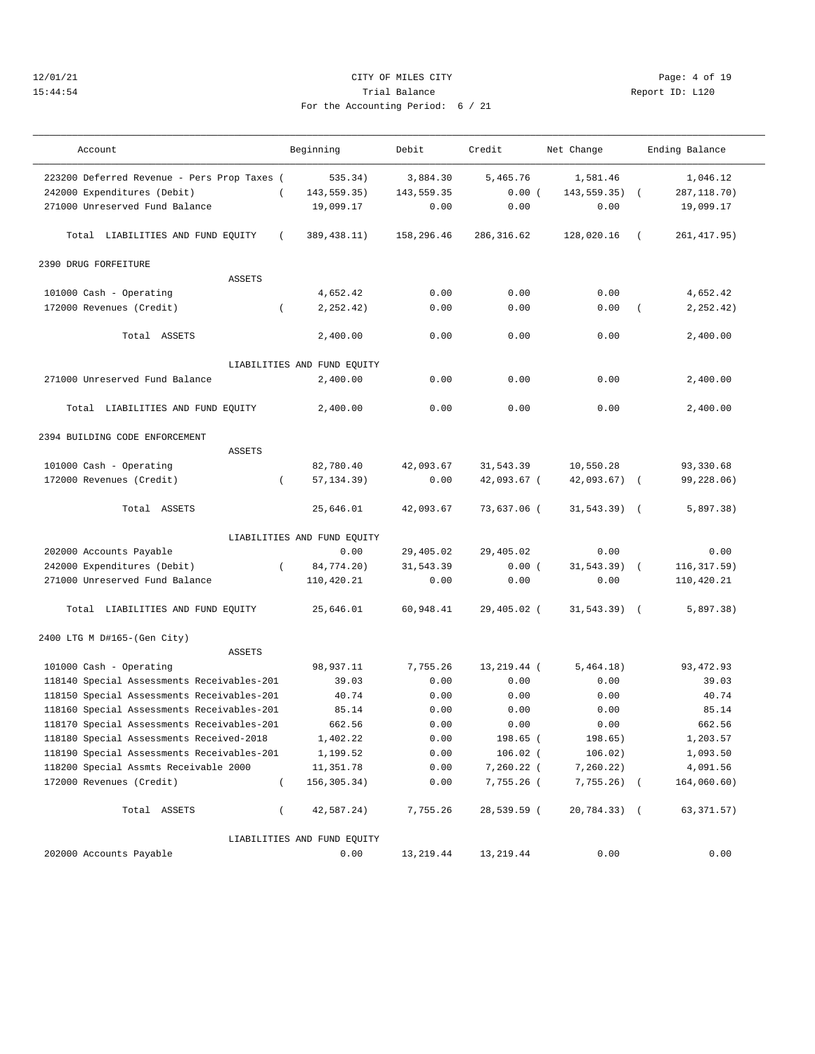# 12/01/21 CITY OF MILES CITY Page: 4 of 19 15:44:54 Trial Balance Report ID: L120 For the Accounting Period: 6 /

——————————————————————————————————————————————————————————————————————————————————————————————————————————————————————————————————— Account and Beginning Debit Credit Net Change Ending Balance

| 223200 Deferred Revenue - Pers Prop Taxes ( |          | 535.34)                     | 3,884.30   | 5,465.76    | 1,581.46        |          | 1,046.12     |  |
|---------------------------------------------|----------|-----------------------------|------------|-------------|-----------------|----------|--------------|--|
| 242000 Expenditures (Debit)                 | $\left($ | 143,559.35)                 | 143,559.35 | 0.00(       | $143, 559.35$ ( |          | 287, 118.70) |  |
| 271000 Unreserved Fund Balance              |          | 19,099.17                   | 0.00       | 0.00        | 0.00            |          | 19,099.17    |  |
|                                             |          |                             |            |             |                 |          |              |  |
| Total LIABILITIES AND FUND EQUITY           | $\left($ | 389,438.11)                 | 158,296.46 | 286, 316.62 | 128,020.16      | $\left($ | 261, 417.95) |  |
|                                             |          |                             |            |             |                 |          |              |  |
| 2390 DRUG FORFEITURE                        |          |                             |            |             |                 |          |              |  |
| <b>ASSETS</b>                               |          |                             |            |             |                 |          |              |  |
| 101000 Cash - Operating                     |          | 4,652.42                    | 0.00       | 0.00        | 0.00            |          | 4,652.42     |  |
| 172000 Revenues (Credit)                    | $\left($ | 2, 252.42)                  | 0.00       | 0.00        | 0.00            | $\left($ | 2, 252.42)   |  |
|                                             |          |                             |            |             |                 |          |              |  |
| Total ASSETS                                |          | 2,400.00                    | 0.00       | 0.00        | 0.00            |          | 2,400.00     |  |
|                                             |          |                             |            |             |                 |          |              |  |
|                                             |          | LIABILITIES AND FUND EQUITY |            |             |                 |          |              |  |
| 271000 Unreserved Fund Balance              |          | 2,400.00                    | 0.00       | 0.00        | 0.00            |          | 2,400.00     |  |
|                                             |          |                             |            |             |                 |          |              |  |
| Total LIABILITIES AND FUND EQUITY           |          | 2,400.00                    | 0.00       | 0.00        | 0.00            |          | 2,400.00     |  |
|                                             |          |                             |            |             |                 |          |              |  |
| 2394 BUILDING CODE ENFORCEMENT              |          |                             |            |             |                 |          |              |  |
| <b>ASSETS</b>                               |          |                             |            |             |                 |          |              |  |
| 101000 Cash - Operating                     |          | 82,780.40                   | 42,093.67  | 31,543.39   | 10,550.28       |          | 93,330.68    |  |
| 172000 Revenues (Credit)                    | $\left($ | 57, 134.39)                 | 0.00       | 42,093.67 ( | $42,093.67$ (   |          | 99,228.06)   |  |
|                                             |          |                             |            |             |                 |          |              |  |
| Total ASSETS                                |          | 25,646.01                   | 42,093.67  | 73,637.06 ( | $31,543.39$ (   |          | 5,897.38)    |  |
|                                             |          |                             |            |             |                 |          |              |  |
|                                             |          | LIABILITIES AND FUND EQUITY |            |             |                 |          |              |  |
| 202000 Accounts Payable                     |          | 0.00                        | 29,405.02  | 29,405.02   | 0.00            |          | 0.00         |  |
| 242000 Expenditures (Debit)                 | $\left($ | 84,774.20)                  | 31,543.39  | 0.00(       | $31,543.39$ (   |          | 116, 317.59) |  |
| 271000 Unreserved Fund Balance              |          | 110,420.21                  | 0.00       | 0.00        | 0.00            |          | 110,420.21   |  |
|                                             |          |                             |            |             |                 |          |              |  |
| Total LIABILITIES AND FUND EQUITY           |          | 25,646.01                   | 60,948.41  | 29,405.02 ( | $31,543.39$ (   |          | 5,897.38)    |  |
|                                             |          |                             |            |             |                 |          |              |  |
| 2400 LTG M D#165-(Gen City)                 |          |                             |            |             |                 |          |              |  |
| <b>ASSETS</b>                               |          |                             |            |             |                 |          |              |  |
| 101000 Cash - Operating                     |          | 98,937.11                   | 7,755.26   | 13,219.44 ( | 5,464.18)       |          | 93, 472.93   |  |
| 118140 Special Assessments Receivables-201  |          | 39.03                       | 0.00       | 0.00        | 0.00            |          | 39.03        |  |
| 118150 Special Assessments Receivables-201  |          | 40.74                       | 0.00       | 0.00        | 0.00            |          | 40.74        |  |
| 118160 Special Assessments Receivables-201  |          | 85.14                       | 0.00       | 0.00        | 0.00            |          | 85.14        |  |
| 118170 Special Assessments Receivables-201  |          | 662.56                      | 0.00       | 0.00        | 0.00            |          | 662.56       |  |
| 118180 Special Assessments Received-2018    |          | 1,402.22                    | 0.00       | 198.65 (    | 198.65)         |          | 1,203.57     |  |
| 118190 Special Assessments Receivables-201  |          | 1,199.52                    | 0.00       | $106.02$ (  | 106.02)         |          | 1,093.50     |  |
| 118200 Special Assmts Receivable 2000       |          | 11,351.78                   | 0.00       | 7,260.22 (  | 7,260.22)       |          | 4,091.56     |  |
| 172000 Revenues (Credit)                    | $\left($ | 156, 305. 34)               | 0.00       | 7,755.26 (  | $7,755.26$ (    |          | 164,060.60)  |  |
|                                             |          |                             |            |             |                 |          |              |  |
| Total ASSETS                                | $\left($ | 42,587.24)                  | 7,755.26   | 28,539.59 ( | 20,784.33) (    |          | 63, 371.57)  |  |
|                                             |          |                             |            |             |                 |          |              |  |
|                                             |          | LIABILITIES AND FUND EQUITY |            |             |                 |          |              |  |
| 202000 Accounts Payable                     |          | 0.00                        | 13,219.44  | 13, 219.44  | 0.00            |          | 0.00         |  |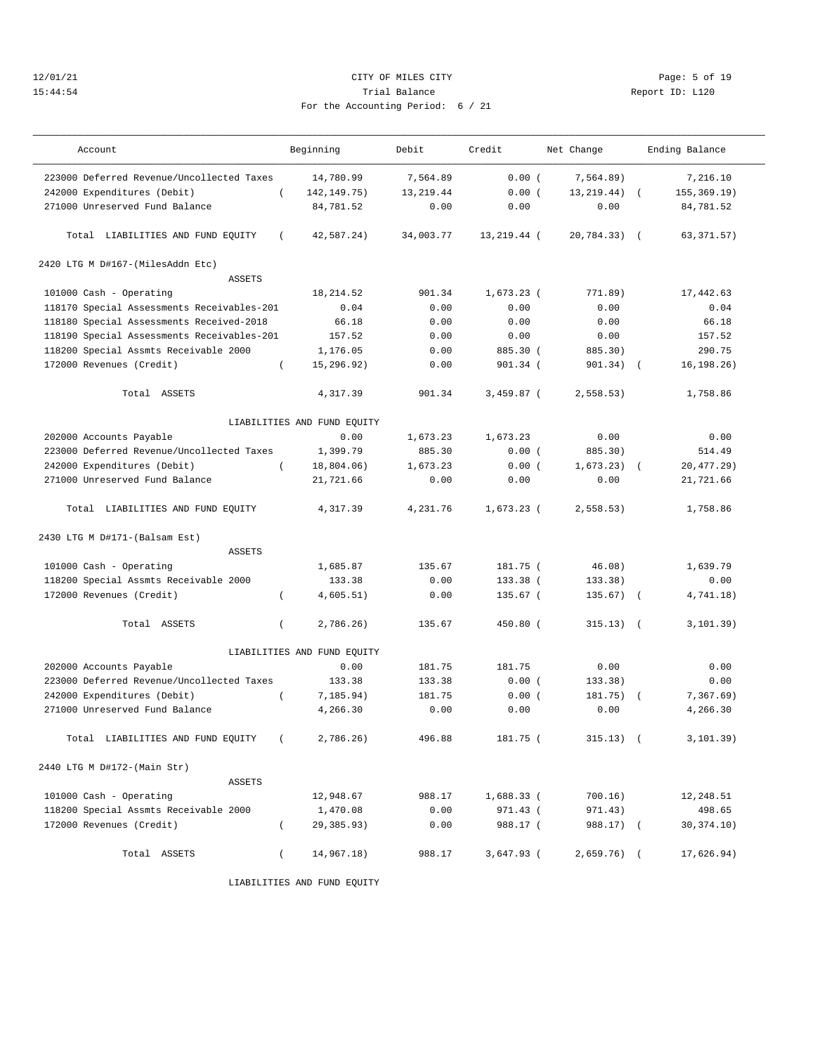## 12/01/21 CITY OF MILES CITY Page: 5 of 19 15:44:54 Trial Balance Report ID: L120 For the Accounting Period: 6 / 21

| Account                                    |                | Beginning                   | Debit      | Credit       | Net Change   |            | Ending Balance |
|--------------------------------------------|----------------|-----------------------------|------------|--------------|--------------|------------|----------------|
| 223000 Deferred Revenue/Uncollected Taxes  |                | 14,780.99                   | 7,564.89   | 0.00(        | 7,564.89)    |            | 7,216.10       |
| 242000 Expenditures (Debit)                | $\left($       | 142, 149. 75)               | 13, 219.44 | 0.00(        | 13, 219. 44) |            | 155, 369.19)   |
| 271000 Unreserved Fund Balance             |                | 84,781.52                   | 0.00       | 0.00         | 0.00         |            | 84,781.52      |
| Total LIABILITIES AND FUND EQUITY          | $\left($       | 42,587.24)                  | 34,003.77  | 13,219.44 (  | 20,784.33)   | $\sqrt{2}$ | 63, 371.57)    |
| 2420 LTG M D#167-(MilesAddn Etc)           |                |                             |            |              |              |            |                |
| <b>ASSETS</b>                              |                |                             |            |              |              |            |                |
| 101000 Cash - Operating                    |                | 18, 214.52                  | 901.34     | $1,673.23$ ( | 771.89)      |            | 17,442.63      |
| 118170 Special Assessments Receivables-201 |                | 0.04                        | 0.00       | 0.00         | 0.00         |            | 0.04           |
| 118180 Special Assessments Received-2018   |                | 66.18                       | 0.00       | 0.00         | 0.00         |            | 66.18          |
| 118190 Special Assessments Receivables-201 |                | 157.52                      | 0.00       | 0.00         | 0.00         |            | 157.52         |
| 118200 Special Assmts Receivable 2000      |                | 1,176.05                    | 0.00       | 885.30 (     | 885.30)      |            | 290.75         |
| 172000 Revenues (Credit)                   | $\left($       | 15,296.92)                  | 0.00       | 901.34 (     | $901.34)$ (  |            | 16, 198.26)    |
| Total ASSETS                               |                | 4,317.39                    | 901.34     | $3,459.87$ ( | 2,558.53)    |            | 1,758.86       |
|                                            |                | LIABILITIES AND FUND EQUITY |            |              |              |            |                |
| 202000 Accounts Payable                    |                | 0.00                        | 1,673.23   | 1,673.23     | 0.00         |            | 0.00           |
| 223000 Deferred Revenue/Uncollected Taxes  |                | 1,399.79                    | 885.30     | 0.00(        | 885.30)      |            | 514.49         |
| 242000 Expenditures (Debit)                | $\left($       | 18,804.06)                  | 1,673.23   | 0.00(        | 1.673.23)    |            | 20,477.29)     |
| 271000 Unreserved Fund Balance             |                | 21,721.66                   | 0.00       | 0.00         | 0.00         |            | 21,721.66      |
| Total LIABILITIES AND FUND EQUITY          |                | 4,317.39                    | 4.231.76   | $1.673.23$ ( | 2,558.53)    |            | 1,758.86       |
|                                            |                |                             |            |              |              |            |                |
| 2430 LTG M D#171-(Balsam Est)              |                |                             |            |              |              |            |                |
| <b>ASSETS</b>                              |                |                             |            |              |              |            |                |
| 101000 Cash - Operating                    |                | 1,685.87                    | 135.67     | 181.75 (     | 46.08)       |            | 1,639.79       |
| 118200 Special Assmts Receivable 2000      |                | 133.38                      | 0.00       | 133.38 (     | 133.38)      |            | 0.00           |
| 172000 Revenues (Credit)                   | $\left($       | 4,605.51)                   | 0.00       | 135.67 (     | 135.67)      | $\sqrt{ }$ | 4,741.18)      |
| Total ASSETS                               | $\left($       | 2,786.26)                   | 135.67     | 450.80 (     | $315.13)$ (  |            | 3, 101.39)     |
|                                            |                | LIABILITIES AND FUND EQUITY |            |              |              |            |                |
| 202000 Accounts Payable                    |                | 0.00                        | 181.75     | 181.75       | 0.00         |            | 0.00           |
| 223000 Deferred Revenue/Uncollected Taxes  |                | 133.38                      | 133.38     | 0.00(        | 133.38)      |            | 0.00           |
| 242000 Expenditures (Debit)                | $\overline{ }$ | 7, 185.94)                  | 181.75     | 0.00(        | 181.75)      |            | 7,367.69)      |
| 271000 Unreserved Fund Balance             |                | 4,266.30                    | 0.00       | 0.00         | 0.00         |            | 4,266.30       |
| Total LIABILITIES AND FUND EQUITY          | $\sqrt{2}$     | 2,786.26)                   | 496.88     | 181.75 (     | $315.13)$ (  |            | 3, 101.39)     |
| 2440 LTG M D#172-(Main Str)                |                |                             |            |              |              |            |                |
| ASSETS                                     |                |                             |            |              |              |            |                |
| 101000 Cash - Operating                    |                | 12,948.67                   | 988.17     | 1,688.33 (   | 700.16)      |            | 12,248.51      |
| 118200 Special Assmts Receivable 2000      |                | 1,470.08                    | 0.00       | 971.43 (     | 971.43)      |            | 498.65         |
| 172000 Revenues (Credit)                   | $\left($       | 29,385.93)                  | 0.00       | 988.17 (     | 988.17) (    |            | 30,374.10)     |
| Total ASSETS                               | $\left($       | 14,967.18)                  | 988.17     | $3,647.93$ ( | $2,659.76$ ( |            | 17,626.94)     |

LIABILITIES AND FUND EQUITY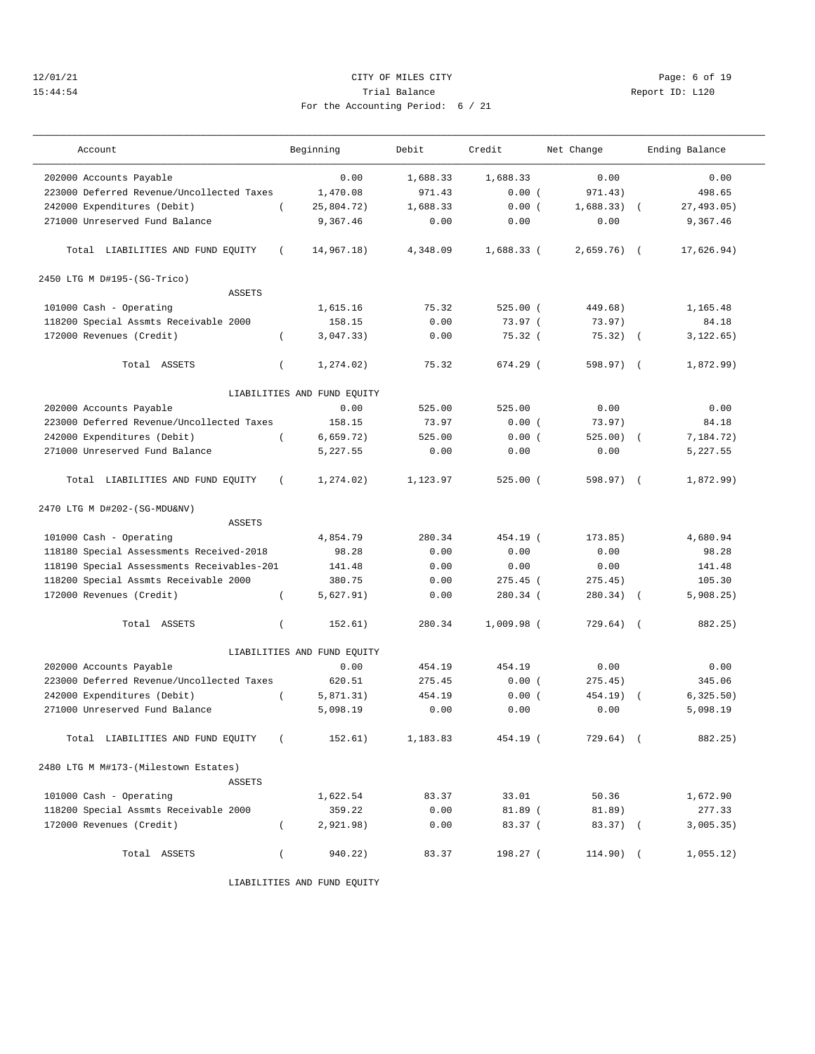## 12/01/21 CITY OF MILES CITY Page: 6 of 19 15:44:54 Trial Balance Report ID: L120 For the Accounting Period: 6 / 21

| Account                                    |                  | Beginning                   | Debit    | Credit       | Net Change   |            | Ending Balance |
|--------------------------------------------|------------------|-----------------------------|----------|--------------|--------------|------------|----------------|
| 202000 Accounts Payable                    |                  | 0.00                        | 1,688.33 | 1,688.33     | 0.00         |            | 0.00           |
| 223000 Deferred Revenue/Uncollected Taxes  |                  | 1,470.08                    | 971.43   | 0.00(        | 971.43)      |            | 498.65         |
| 242000 Expenditures (Debit)                |                  | 25,804.72)                  | 1,688.33 | 0.00(        | 1,688.33)    |            | 27,493.05)     |
| 271000 Unreserved Fund Balance             |                  | 9,367.46                    | 0.00     | 0.00         | 0.00         |            | 9,367.46       |
| Total LIABILITIES AND FUND EQUITY          | $\left($         | 14,967.18)                  | 4,348.09 | $1,688.33$ ( | $2,659.76$ ( |            | 17,626.94)     |
| 2450 LTG M D#195-(SG-Trico)                |                  |                             |          |              |              |            |                |
| <b>ASSETS</b>                              |                  |                             |          |              |              |            |                |
| 101000 Cash - Operating                    |                  | 1,615.16                    | 75.32    | $525.00$ (   | 449.68)      |            | 1,165.48       |
| 118200 Special Assmts Receivable 2000      |                  | 158.15                      | 0.00     | 73.97(       | 73.97)       |            | 84.18          |
| 172000 Revenues (Credit)                   | $\left($         | 3,047.33)                   | 0.00     | 75.32(       | 75.32)       | $\sqrt{2}$ | 3, 122.65)     |
| Total ASSETS                               | $\left($         | 1, 274.02)                  | 75.32    | $674.29$ (   | 598.97) (    |            | 1,872.99)      |
|                                            |                  | LIABILITIES AND FUND EQUITY |          |              |              |            |                |
| 202000 Accounts Payable                    |                  | 0.00                        | 525.00   | 525.00       | 0.00         |            | 0.00           |
| 223000 Deferred Revenue/Uncollected Taxes  |                  | 158.15                      | 73.97    | 0.00(        | 73.97)       |            | 84.18          |
| 242000 Expenditures (Debit)                | $\left($         | 6.659.72)                   | 525.00   | 0.00(        | 525.00)      | $\sqrt{2}$ | 7,184.72)      |
| 271000 Unreserved Fund Balance             |                  | 5,227.55                    | 0.00     | 0.00         | 0.00         |            | 5,227.55       |
| Total LIABILITIES AND FUND EQUITY          | $\left($         | 1,274.02)                   | 1,123.97 | $525.00$ (   | 598.97) (    |            | 1.872.99       |
| 2470 LTG M D#202-(SG-MDU&NV)               |                  |                             |          |              |              |            |                |
| <b>ASSETS</b>                              |                  |                             |          |              |              |            |                |
| 101000 Cash - Operating                    |                  | 4,854.79                    | 280.34   | 454.19 (     | 173.85)      |            | 4,680.94       |
| 118180 Special Assessments Received-2018   |                  | 98.28                       | 0.00     | 0.00         | 0.00         |            | 98.28          |
| 118190 Special Assessments Receivables-201 |                  | 141.48                      | 0.00     | 0.00         | 0.00         |            | 141.48         |
| 118200 Special Assmts Receivable 2000      |                  | 380.75                      | 0.00     | $275.45$ (   | 275.45)      |            | 105.30         |
| 172000 Revenues (Credit)                   | $\overline{ }$   | 5,627.91)                   | 0.00     | 280.34 (     | 280.34)      | $\sqrt{ }$ | 5,908.25)      |
| Total ASSETS                               | $\left($         | 152.61)                     | 280.34   | $1,009.98$ ( | $729.64)$ (  |            | 882.25)        |
|                                            |                  | LIABILITIES AND FUND EQUITY |          |              |              |            |                |
| 202000 Accounts Payable                    |                  | 0.00                        | 454.19   | 454.19       | 0.00         |            | 0.00           |
| 223000 Deferred Revenue/Uncollected Taxes  |                  | 620.51                      | 275.45   | 0.00(        | 275.45)      |            | 345.06         |
| 242000 Expenditures (Debit)                | $\overline{(\ }$ | 5,871.31)                   | 454.19   | 0.00(        | 454.19)      |            | 6, 325.50)     |
| 271000 Unreserved Fund Balance             |                  | 5,098.19                    | 0.00     | 0.00         | 0.00         |            | 5,098.19       |
| Total LIABILITIES AND FUND EQUITY          | $\sqrt{2}$       | 152.61)                     | 1,183.83 | 454.19 (     | 729.64) (    |            | 882.25)        |
| 2480 LTG M M#173-(Milestown Estates)       |                  |                             |          |              |              |            |                |
| ASSETS                                     |                  |                             |          |              |              |            |                |
| 101000 Cash - Operating                    |                  | 1,622.54                    | 83.37    | 33.01        | 50.36        |            | 1,672.90       |
| 118200 Special Assmts Receivable 2000      |                  | 359.22                      | 0.00     | $81.89$ (    | 81.89)       |            | 277.33         |
| 172000 Revenues (Credit)                   | $\left($         | 2,921.98)                   | 0.00     | 83.37 (      | $83.37)$ (   |            | 3,005.35)      |
| Total ASSETS                               | $\left($         | 940.22)                     | 83.37    | 198.27 (     | 114.90) (    |            | 1,055.12)      |

LIABILITIES AND FUND EQUITY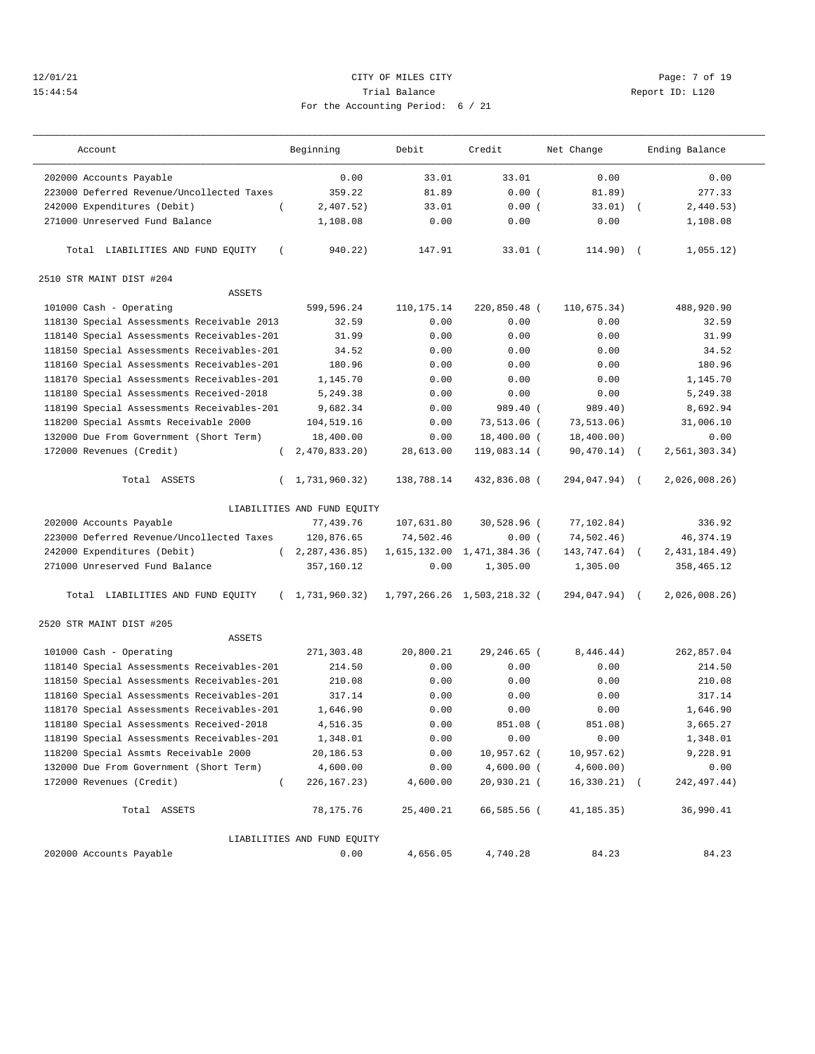## 12/01/21 CITY OF MILES CITY Page: 7 of 19 15:44:54 Trial Balance Report ID: L120 For the Accounting Period: 6 / 21

| Account                                       | Beginning                   | Debit        | Credit                      | Net Change    |            | Ending Balance |
|-----------------------------------------------|-----------------------------|--------------|-----------------------------|---------------|------------|----------------|
| 202000 Accounts Payable                       | 0.00                        | 33.01        | 33.01                       | 0.00          |            | 0.00           |
| 223000 Deferred Revenue/Uncollected Taxes     | 359.22                      | 81.89        | 0.00(                       | 81.89)        |            | 277.33         |
| 242000 Expenditures (Debit)                   | 2,407.52)                   | 33.01        | 0.00(                       | 33.01)        |            | 2,440.53)      |
| 271000 Unreserved Fund Balance                | 1,108.08                    | 0.00         | 0.00                        | 0.00          |            | 1,108.08       |
| Total LIABILITIES AND FUND EQUITY<br>$\left($ | 940.22)                     | 147.91       | $33.01$ (                   | $114.90)$ (   |            | 1,055.12)      |
| 2510 STR MAINT DIST #204                      |                             |              |                             |               |            |                |
| <b>ASSETS</b>                                 |                             |              |                             |               |            |                |
| 101000 Cash - Operating                       | 599,596.24                  | 110, 175. 14 | 220,850.48 (                | 110,675.34)   |            | 488,920.90     |
| 118130 Special Assessments Receivable 2013    | 32.59                       | 0.00         | 0.00                        | 0.00          |            | 32.59          |
| 118140 Special Assessments Receivables-201    | 31.99                       | 0.00         | 0.00                        | 0.00          |            | 31.99          |
| 118150 Special Assessments Receivables-201    | 34.52                       | 0.00         | 0.00                        | 0.00          |            | 34.52          |
| 118160 Special Assessments Receivables-201    | 180.96                      | 0.00         | 0.00                        | 0.00          |            | 180.96         |
| 118170 Special Assessments Receivables-201    | 1,145.70                    | 0.00         | 0.00                        | 0.00          |            | 1,145.70       |
| 118180 Special Assessments Received-2018      | 5,249.38                    | 0.00         | 0.00                        | 0.00          |            | 5,249.38       |
| 118190 Special Assessments Receivables-201    | 9,682.34                    | 0.00         | 989.40 (                    | 989.40)       |            | 8,692.94       |
| 118200 Special Assmts Receivable 2000         | 104,519.16                  | 0.00         | 73,513.06 (                 | 73, 513.06)   |            | 31,006.10      |
| 132000 Due From Government (Short Term)       | 18,400.00                   | 0.00         | 18,400.00 (                 | 18,400.00)    |            | 0.00           |
| 172000 Revenues (Credit)<br>$\left($          | 2,470,833.20)               | 28,613.00    | 119,083.14 (                | 90,470.14)    | $\sqrt{2}$ | 2,561,303.34)  |
| Total ASSETS<br>$\left($                      | 1,731,960.32)               | 138,788.14   | 432,836.08 (                | 294,047.94) ( |            | 2,026,008.26   |
|                                               | LIABILITIES AND FUND EQUITY |              |                             |               |            |                |
| 202000 Accounts Payable                       | 77,439.76                   | 107,631.80   | 30,528.96 (                 | 77,102.84)    |            | 336.92         |
| 223000 Deferred Revenue/Uncollected Taxes     | 120,876.65                  | 74,502.46    | 0.00(                       | 74,502.46)    |            | 46, 374. 19    |
| 242000 Expenditures (Debit)<br>$\left($       | 2,287,436.85)               | 1,615,132.00 | 1,471,384.36 (              | 143,747.64)   | $\left($   | 2,431,184.49)  |
| 271000 Unreserved Fund Balance                | 357,160.12                  | 0.00         | 1,305.00                    | 1,305.00      |            | 358,465.12     |
| Total LIABILITIES AND FUND EQUITY             | (1, 731, 960.32)            |              | 1,797,266.26 1,503,218.32 ( | 294,047.94)   | $\sqrt{ }$ | 2,026,008.26)  |
| 2520 STR MAINT DIST #205                      |                             |              |                             |               |            |                |
| <b>ASSETS</b>                                 |                             |              |                             |               |            |                |
| 101000 Cash - Operating                       | 271,303.48                  | 20,800.21    | 29,246.65 (                 | 8,446.44)     |            | 262,857.04     |
| 118140 Special Assessments Receivables-201    | 214.50                      | 0.00         | 0.00                        | 0.00          |            | 214.50         |
| 118150 Special Assessments Receivables-201    | 210.08                      | 0.00         | 0.00                        | 0.00          |            | 210.08         |
| 118160 Special Assessments Receivables-201    | 317.14                      | 0.00         | 0.00                        | 0.00          |            | 317.14         |
| 118170 Special Assessments Receivables-201    | 1,646.90                    | 0.00         | 0.00                        | 0.00          |            | 1,646.90       |
| 118180 Special Assessments Received-2018      | 4,516.35                    | 0.00         | 851.08 (                    | 851.08)       |            | 3,665.27       |
| 118190 Special Assessments Receivables-201    | 1,348.01                    | 0.00         | 0.00                        | 0.00          |            | 1,348.01       |
| 118200 Special Assmts Receivable 2000         | 20,186.53                   | 0.00         | 10,957.62 (                 | 10,957.62)    |            | 9,228.91       |
| 132000 Due From Government (Short Term)       | 4,600.00                    | 0.00         | $4,600.00$ (                | 4,600.00)     |            | 0.00           |
| 172000 Revenues (Credit)<br>$\left($          | 226, 167. 23)               | 4,600.00     | 20,930.21 (                 | 16,330.21)    | $\sqrt{2}$ | 242, 497.44)   |
| Total ASSETS                                  | 78,175.76                   | 25,400.21    | 66,585.56 (                 | 41,185.35)    |            | 36,990.41      |
|                                               | LIABILITIES AND FUND EQUITY |              |                             |               |            |                |
| 202000 Accounts Payable                       | 0.00                        | 4,656.05     | 4,740.28                    | 84.23         |            | 84.23          |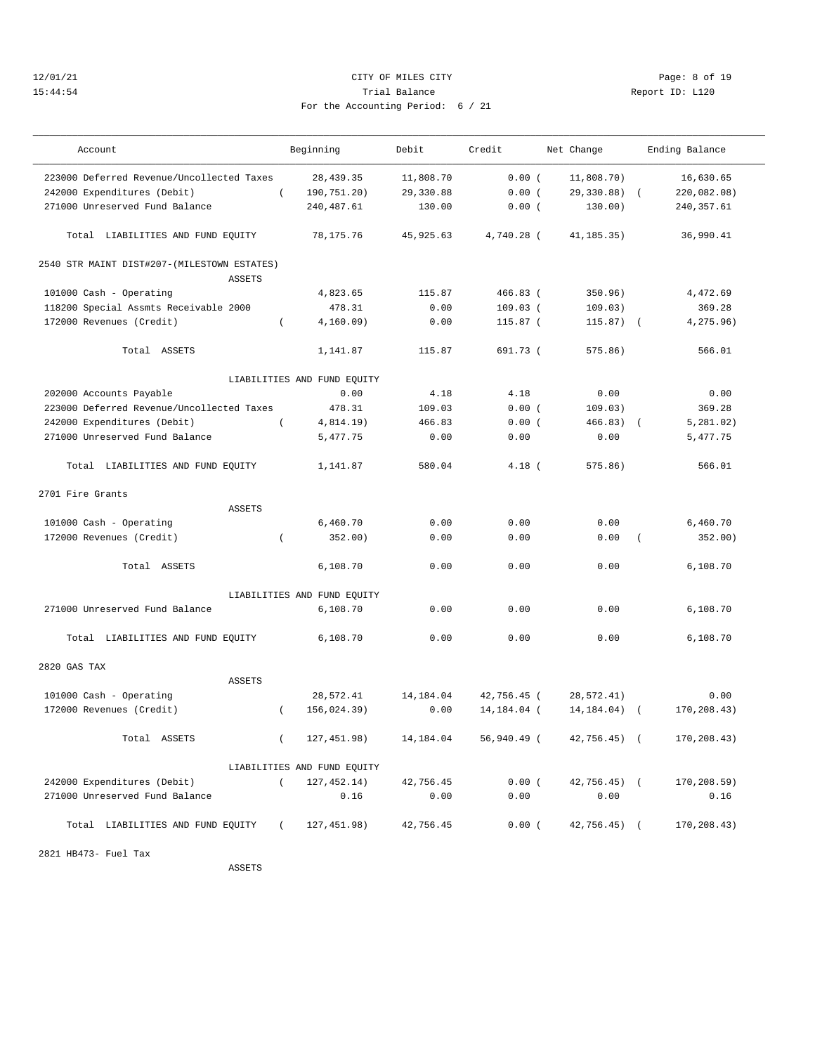## 12/01/21 CITY OF MILES CITY Page: 8 of 19 15:44:54 Trial Balance Report ID: L120 For the Accounting Period: 6 / 21

| Account                                                      | Beginning                   | Debit     | Credit        | Net Change    | Ending Balance            |
|--------------------------------------------------------------|-----------------------------|-----------|---------------|---------------|---------------------------|
| 223000 Deferred Revenue/Uncollected Taxes                    | 28, 439.35                  | 11,808.70 | 0.00(         | 11,808.70)    | 16,630.65                 |
| 242000 Expenditures (Debit)                                  | $\left($<br>190,751.20)     | 29,330.88 | 0.00(         | 29,330.88)    | 220,082.08)               |
| 271000 Unreserved Fund Balance                               | 240,487.61                  | 130.00    | 0.00(         | 130.00)       | 240,357.61                |
| Total LIABILITIES AND FUND EQUITY                            | 78,175.76                   | 45,925.63 | 4,740.28 (    | 41, 185. 35)  | 36,990.41                 |
| 2540 STR MAINT DIST#207-(MILESTOWN ESTATES)<br><b>ASSETS</b> |                             |           |               |               |                           |
| 101000 Cash - Operating                                      | 4,823.65                    | 115.87    | $466.83$ (    | 350.96)       | 4,472.69                  |
| 118200 Special Assmts Receivable 2000                        | 478.31                      | 0.00      | $109.03$ (    | 109.03)       | 369.28                    |
| 172000 Revenues (Credit)                                     | $\left($<br>4, 160.09)      | 0.00      | $115.87$ (    | $115.87$ (    | 4,275.96)                 |
|                                                              |                             |           |               |               |                           |
| Total ASSETS                                                 | 1,141.87                    | 115.87    | 691.73 (      | 575.86)       | 566.01                    |
|                                                              | LIABILITIES AND FUND EQUITY |           |               |               |                           |
| 202000 Accounts Payable                                      | 0.00                        | 4.18      | 4.18          | 0.00          | 0.00                      |
| 223000 Deferred Revenue/Uncollected Taxes                    | 478.31                      | 109.03    | 0.00(         | 109.03)       | 369.28                    |
| 242000 Expenditures (Debit)                                  | $\left($<br>4,814.19)       | 466.83    | 0.00(         | 466.83)       | 5, 281, 02)<br>$\sqrt{2}$ |
| 271000 Unreserved Fund Balance                               | 5.477.75                    | 0.00      | 0.00          | 0.00          | 5,477.75                  |
| Total LIABILITIES AND FUND EQUITY                            | 1,141.87                    | 580.04    | $4.18$ (      | $575.86$ )    | 566.01                    |
| 2701 Fire Grants                                             |                             |           |               |               |                           |
| <b>ASSETS</b>                                                |                             |           |               |               |                           |
| 101000 Cash - Operating                                      | 6,460.70                    | 0.00      | 0.00          | 0.00          | 6,460.70                  |
| 172000 Revenues (Credit)                                     | 352.00)<br>$\left($         | 0.00      | 0.00          | 0.00          | 352.00)                   |
| Total ASSETS                                                 | 6,108.70                    | 0.00      | 0.00          | 0.00          | 6,108.70                  |
|                                                              | LIABILITIES AND FUND EQUITY |           |               |               |                           |
| 271000 Unreserved Fund Balance                               | 6,108.70                    | 0.00      | 0.00          | 0.00          | 6,108.70                  |
| Total LIABILITIES AND FUND EQUITY                            | 6,108.70                    | 0.00      | 0.00          | 0.00          | 6,108.70                  |
| 2820 GAS TAX                                                 |                             |           |               |               |                           |
| <b>ASSETS</b>                                                |                             |           |               |               |                           |
| 101000 Cash - Operating                                      | 28,572.41                   | 14,184.04 | 42,756.45 (   | 28,572.41)    | 0.00                      |
| 172000 Revenues (Credit)                                     | 156,024.39)<br>$\left($     | 0.00      | 14, 184, 04 ( | 14, 184.04)   | 170,208.43)<br>$\sqrt{2}$ |
|                                                              |                             |           |               |               |                           |
| Total ASSETS                                                 | 127,451.98)<br>$\left($     | 14,184.04 | 56,940.49 (   | 42,756.45) (  | 170,208.43)               |
|                                                              | LIABILITIES AND FUND EQUITY |           |               |               |                           |
| 242000 Expenditures (Debit)                                  | 127,452.14)<br>$\sqrt{2}$   | 42,756.45 | 0.00(         | $42,756.45$ ( | 170, 208.59)              |
| 271000 Unreserved Fund Balance                               | 0.16                        | 0.00      | 0.00          | 0.00          | 0.16                      |
| Total LIABILITIES AND FUND EQUITY (                          | 127,451.98)                 | 42,756.45 | 0.00(         | $42,756.45$ ( | 170,208.43)               |
| 2821 HB473- Fuel Tax                                         |                             |           |               |               |                           |

ASSETS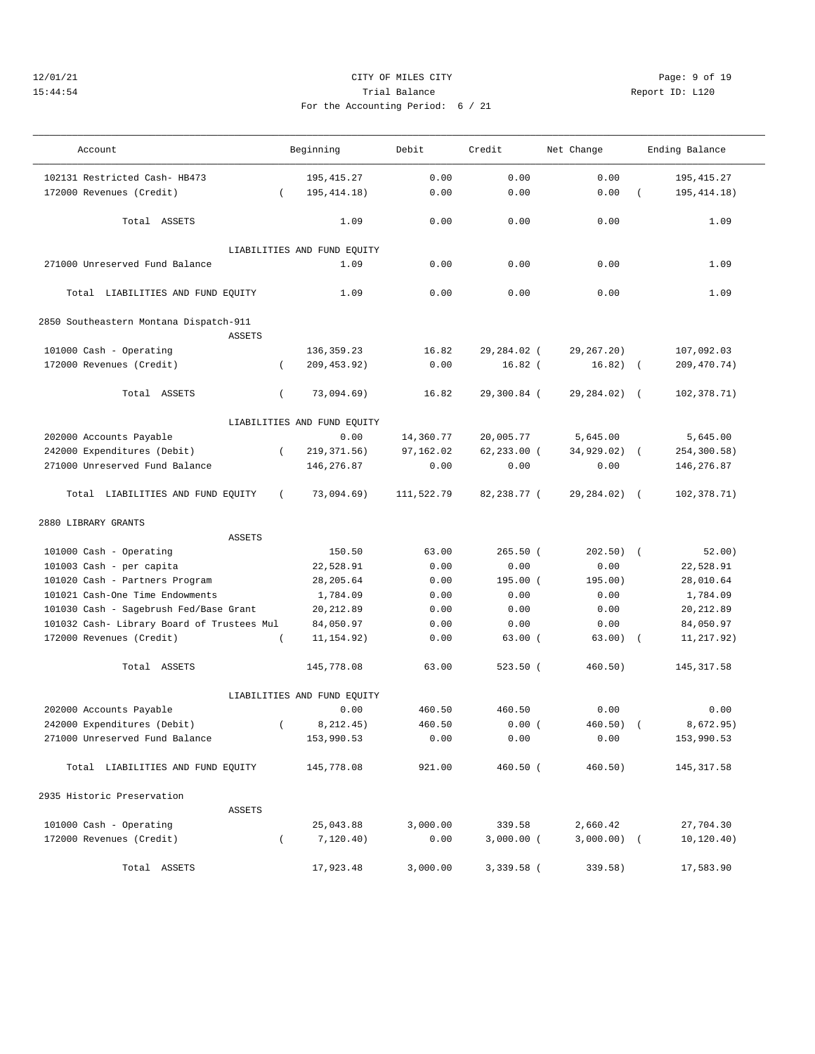## 12/01/21 CITY OF MILES CITY Page: 9 of 19 15:44:54 Trial Balance Report ID: L120 For the Accounting Period: 6 / 21

| Account                                    |                  | Beginning                   | Debit      | Credit         | Net Change    |            | Ending Balance |
|--------------------------------------------|------------------|-----------------------------|------------|----------------|---------------|------------|----------------|
| 102131 Restricted Cash- HB473              |                  | 195, 415.27                 | 0.00       | 0.00           | 0.00          |            | 195, 415.27    |
| 172000 Revenues (Credit)                   | $\left($         | 195, 414. 18)               | 0.00       | 0.00           | 0.00          |            | 195, 414. 18)  |
|                                            |                  |                             |            |                |               |            |                |
| Total ASSETS                               |                  | 1.09                        | 0.00       | 0.00           | 0.00          |            | 1.09           |
|                                            |                  |                             |            |                |               |            |                |
|                                            |                  | LIABILITIES AND FUND EQUITY |            |                |               |            |                |
| 271000 Unreserved Fund Balance             |                  | 1.09                        | 0.00       | 0.00           | 0.00          |            | 1.09           |
| Total LIABILITIES AND FUND EQUITY          |                  | 1.09                        | 0.00       | 0.00           | 0.00          |            | 1.09           |
| 2850 Southeastern Montana Dispatch-911     |                  |                             |            |                |               |            |                |
| <b>ASSETS</b>                              |                  |                             |            |                |               |            |                |
| 101000 Cash - Operating                    |                  | 136, 359.23                 | 16.82      | 29,284.02 (    | 29, 267. 20)  |            | 107,092.03     |
| 172000 Revenues (Credit)                   | $\left($         | 209, 453.92)                | 0.00       | $16.82$ (      | $16.82)$ (    |            | 209,470.74)    |
|                                            |                  |                             |            |                |               |            |                |
| Total ASSETS                               | $\left($         | 73,094.69)                  | 16.82      | 29,300.84 (    | 29,284.02)    | $\sqrt{2}$ | 102,378.71)    |
|                                            |                  | LIABILITIES AND FUND EQUITY |            |                |               |            |                |
| 202000 Accounts Payable                    |                  | 0.00                        | 14,360.77  | 20,005.77      | 5,645.00      |            | 5,645.00       |
| 242000 Expenditures (Debit)                | $\left($         | 219, 371.56)                | 97,162.02  | $62, 233.00$ ( | 34,929.02)    | $\left($   | 254,300.58)    |
| 271000 Unreserved Fund Balance             |                  | 146, 276.87                 | 0.00       | 0.00           | 0.00          |            | 146,276.87     |
| Total LIABILITIES AND FUND EQUITY          | $\left($         | 73,094.69)                  | 111,522.79 | 82,238.77 (    | 29,284.02)    | $\sqrt{2}$ | 102,378.71)    |
| 2880 LIBRARY GRANTS                        |                  |                             |            |                |               |            |                |
| <b>ASSETS</b>                              |                  |                             |            |                |               |            |                |
| 101000 Cash - Operating                    |                  | 150.50                      | 63.00      | $265.50$ (     | 202.50)       | $\sqrt{2}$ | 52.00)         |
| 101003 Cash - per capita                   |                  | 22,528.91                   | 0.00       | 0.00           | 0.00          |            | 22,528.91      |
| 101020 Cash - Partners Program             |                  | 28, 205.64                  | 0.00       | 195.00 (       | 195.00)       |            | 28,010.64      |
| 101021 Cash-One Time Endowments            |                  | 1,784.09                    | 0.00       | 0.00           | 0.00          |            | 1,784.09       |
| 101030 Cash - Sagebrush Fed/Base Grant     |                  | 20, 212.89                  | 0.00       | 0.00           | 0.00          |            | 20, 212.89     |
| 101032 Cash- Library Board of Trustees Mul |                  | 84,050.97                   | 0.00       | 0.00           | 0.00          |            | 84,050.97      |
| 172000 Revenues (Credit)                   |                  | 11, 154.92)                 | 0.00       | 63.00(         | 63.00)        | $\sqrt{2}$ | 11,217.92)     |
| Total ASSETS                               |                  | 145,778.08                  | 63.00      | $523.50$ (     | 460.50)       |            | 145, 317.58    |
|                                            |                  | LIABILITIES AND FUND EQUITY |            |                |               |            |                |
| 202000 Accounts Payable                    |                  | 0.00                        | 460.50     | 460.50         | 0.00          |            | 0.00           |
| 242000 Expenditures (Debit)                | $\overline{(\ }$ | 8, 212.45)                  | 460.50     | 0.00(          | 460.50)       |            | 8.672.95)      |
| 271000 Unreserved Fund Balance             |                  | 153,990.53                  | 0.00       | 0.00           | 0.00          |            | 153,990.53     |
| Total LIABILITIES AND FUND EQUITY          |                  | 145,778.08                  | 921.00     | 460.50 (       | 460.50)       |            | 145, 317.58    |
| 2935 Historic Preservation                 |                  |                             |            |                |               |            |                |
| ASSETS                                     |                  |                             |            |                |               |            |                |
| 101000 Cash - Operating                    |                  | 25,043.88                   | 3,000.00   | 339.58         | 2,660.42      |            | 27,704.30      |
| 172000 Revenues (Credit)                   | $\left($         | 7,120.40)                   | 0.00       | $3,000.00$ (   | $3,000.00)$ ( |            | 10,120.40)     |
| Total ASSETS                               |                  | 17,923.48                   | 3,000.00   | 3,339.58 (     | 339.58)       |            | 17,583.90      |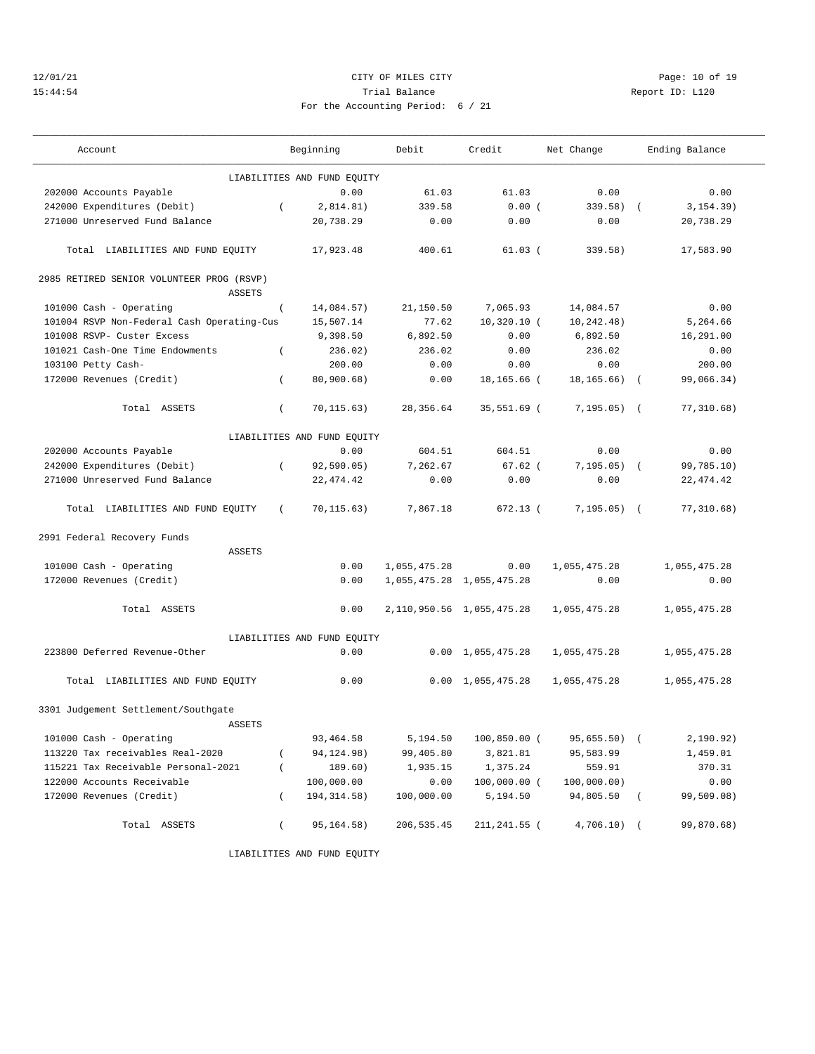## 12/01/21 Page: 10 of 19 15:44:54 Trial Balance Report ID: L120 For the Accounting Period: 6 / 21

| Account                                    |          | Beginning                   | Debit        | Credit                        | Net Change     |            | Ending Balance   |
|--------------------------------------------|----------|-----------------------------|--------------|-------------------------------|----------------|------------|------------------|
|                                            |          | LIABILITIES AND FUND EQUITY |              |                               |                |            |                  |
| 202000 Accounts Payable                    |          | 0.00                        | 61.03        | 61.03                         | 0.00           |            | 0.00             |
| 242000 Expenditures (Debit)                | $\left($ | 2.814.81)                   | 339.58       | 0.00(                         | $339.58$ $($   |            | 3, 154.39)       |
| 271000 Unreserved Fund Balance             |          | 20,738.29                   | 0.00         | 0.00                          | 0.00           |            | 20,738.29        |
| Total LIABILITIES AND FUND EQUITY          |          | 17,923.48                   | 400.61       | $61.03$ (                     | 339.58)        |            | 17,583.90        |
| 2985 RETIRED SENIOR VOLUNTEER PROG (RSVP)  |          |                             |              |                               |                |            |                  |
| <b>ASSETS</b>                              |          |                             |              |                               |                |            |                  |
| 101000 Cash - Operating                    | $\left($ | 14,084.57)                  | 21,150.50    | 7,065.93                      | 14,084.57      |            | 0.00<br>5,264.66 |
| 101004 RSVP Non-Federal Cash Operating-Cus |          | 15,507.14                   | 77.62        | $10,320.10$ (                 | 10, 242, 48)   |            |                  |
| 101008 RSVP- Custer Excess                 |          | 9,398.50                    | 6,892.50     | 0.00                          | 6,892.50       |            | 16,291.00        |
| 101021 Cash-One Time Endowments            | $\left($ | 236.02)                     | 236.02       | 0.00                          | 236.02         |            | 0.00             |
| 103100 Petty Cash-                         |          | 200.00                      | 0.00         | 0.00                          | 0.00           |            | 200.00           |
| 172000 Revenues (Credit)                   | $\left($ | 80,900.68)                  | 0.00         | 18,165.66 (                   | 18,165.66)     | $\sqrt{2}$ | 99,066.34)       |
| Total ASSETS                               | $\left($ | 70,115.63)                  | 28, 356.64   | 35,551.69 (                   | 7,195.05)      | $\sqrt{2}$ | 77, 310.68)      |
|                                            |          | LIABILITIES AND FUND EQUITY |              |                               |                |            |                  |
| 202000 Accounts Payable                    |          | 0.00                        | 604.51       | 604.51                        | 0.00           |            | 0.00             |
| 242000 Expenditures (Debit)                | $\left($ | 92, 590.05)                 | 7,262.67     | $67.62$ (                     | $7,195.05)$ (  |            | 99,785.10)       |
| 271000 Unreserved Fund Balance             |          | 22, 474.42                  | 0.00         | 0.00                          | 0.00           |            | 22, 474.42       |
| Total LIABILITIES AND FUND EQUITY          | $\left($ | 70, 115.63)                 | 7,867.18     | 672.13 (                      | $7, 195.05)$ ( |            | 77, 310.68)      |
| 2991 Federal Recovery Funds                |          |                             |              |                               |                |            |                  |
| ASSETS                                     |          |                             |              |                               |                |            |                  |
| 101000 Cash - Operating                    |          | 0.00                        | 1,055,475.28 | 0.00                          | 1,055,475.28   |            | 1,055,475.28     |
| 172000 Revenues (Credit)                   |          | 0.00                        |              | 1,055,475.28 1,055,475.28     | 0.00           |            | 0.00             |
| Total ASSETS                               |          | 0.00                        |              | 2, 110, 950.56 1, 055, 475.28 | 1,055,475.28   |            | 1,055,475.28     |
|                                            |          | LIABILITIES AND FUND EQUITY |              |                               |                |            |                  |
| 223800 Deferred Revenue-Other              |          | 0.00                        |              | $0.00 \quad 1,055,475.28$     | 1,055,475.28   |            | 1,055,475.28     |
| Total LIABILITIES AND FUND EQUITY          |          | 0.00                        | 0.00         | 1,055,475.28                  | 1,055,475.28   |            | 1,055,475.28     |
| 3301 Judgement Settlement/Southgate        |          |                             |              |                               |                |            |                  |
| <b>ASSETS</b>                              |          |                             |              |                               |                |            |                  |
| 101000 Cash - Operating                    |          | 93, 464.58                  | 5,194.50     | 100,850.00 (                  | 95,655.50) (   |            | 2,190.92)        |
| 113220 Tax receivables Real-2020           |          | 94, 124. 98)                | 99,405.80    | 3,821.81                      | 95,583.99      |            | 1,459.01         |
| 115221 Tax Receivable Personal-2021        | $\left($ | 189.60)                     | 1,935.15     | 1,375.24                      | 559.91         |            | 370.31           |
| 122000 Accounts Receivable                 |          | 100,000.00                  | 0.00         | 100,000.00 (                  | 100,000.00)    |            | 0.00             |
| 172000 Revenues (Credit)                   | $\left($ | 194, 314.58)                | 100,000.00   | 5,194.50                      | 94,805.50      | $\left($   | 99,509.08)       |
|                                            |          |                             |              |                               |                |            |                  |
| Total ASSETS                               | $\left($ | 95,164.58)                  | 206, 535.45  | 211,241.55 (                  | $4,706.10)$ (  |            | 99,870.68)       |

LIABILITIES AND FUND EQUITY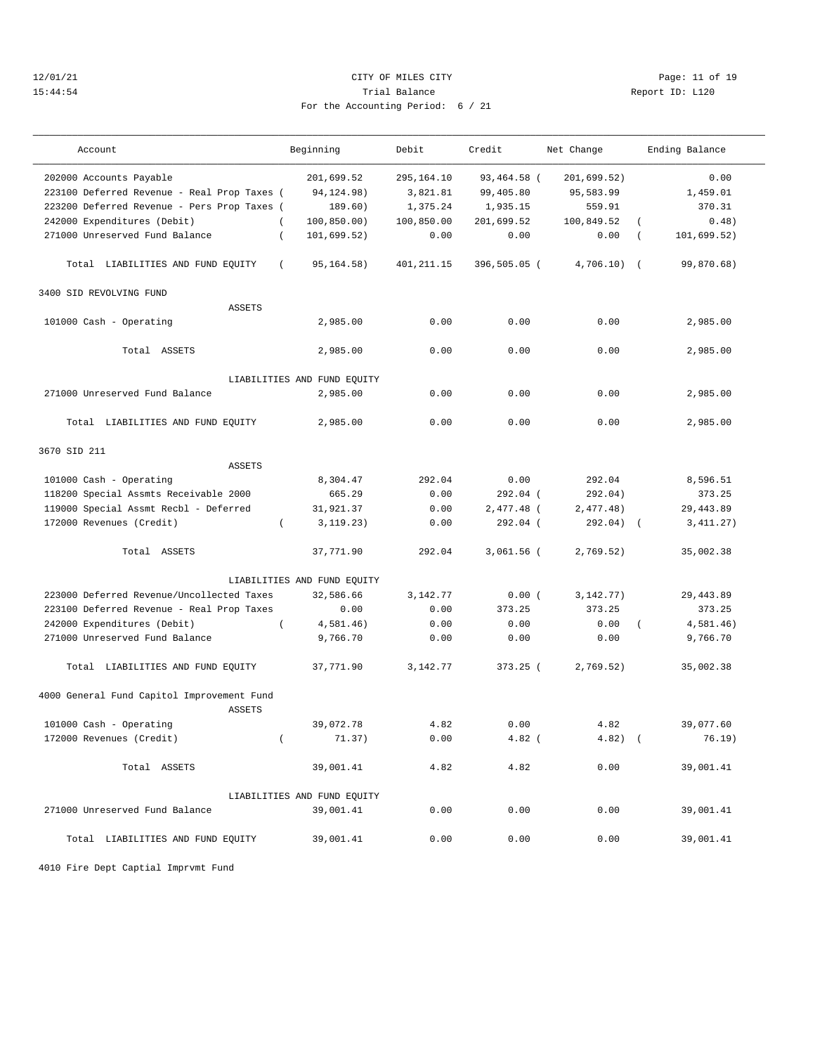## 12/01/21 Page: 11 of 19 15:44:54 Trial Balance Report ID: L120 For the Accounting Period: 6 / 21

| Account                                                                                                                                              | Beginning                                                         | Debit                                            | Credit                                             | Net Change                                       | Ending Balance                      |
|------------------------------------------------------------------------------------------------------------------------------------------------------|-------------------------------------------------------------------|--------------------------------------------------|----------------------------------------------------|--------------------------------------------------|-------------------------------------|
| 202000 Accounts Payable<br>223100 Deferred Revenue - Real Prop Taxes (<br>223200 Deferred Revenue - Pers Prop Taxes (<br>242000 Expenditures (Debit) | 201,699.52<br>94, 124. 98)<br>189.60)<br>100, 850.00)<br>$\left($ | 295,164.10<br>3,821.81<br>1,375.24<br>100,850.00 | 93,464.58 (<br>99,405.80<br>1,935.15<br>201,699.52 | 201,699.52)<br>95,583.99<br>559.91<br>100,849.52 | 0.00<br>1,459.01<br>370.31<br>0.48) |
| 271000 Unreserved Fund Balance                                                                                                                       | 101,699.52)<br>$\left($                                           | 0.00                                             | 0.00                                               | 0.00                                             | 101,699.52)<br>$\left($             |
|                                                                                                                                                      |                                                                   |                                                  |                                                    |                                                  |                                     |
| Total LIABILITIES AND FUND EQUITY                                                                                                                    | 95, 164. 58)<br>$\left($                                          | 401,211.15                                       | 396,505.05 (                                       | 4,706.10)                                        | 99,870.68)<br>$\sqrt{2}$            |
| 3400 SID REVOLVING FUND                                                                                                                              |                                                                   |                                                  |                                                    |                                                  |                                     |
| <b>ASSETS</b>                                                                                                                                        |                                                                   |                                                  |                                                    |                                                  |                                     |
| 101000 Cash - Operating                                                                                                                              | 2,985.00                                                          | 0.00                                             | 0.00                                               | 0.00                                             | 2,985.00                            |
|                                                                                                                                                      |                                                                   |                                                  |                                                    |                                                  |                                     |
| Total ASSETS                                                                                                                                         | 2,985.00                                                          | 0.00                                             | 0.00                                               | 0.00                                             | 2,985.00                            |
|                                                                                                                                                      |                                                                   |                                                  |                                                    |                                                  |                                     |
|                                                                                                                                                      | LIABILITIES AND FUND EQUITY                                       |                                                  |                                                    |                                                  |                                     |
| 271000 Unreserved Fund Balance                                                                                                                       | 2,985.00                                                          | 0.00                                             | 0.00                                               | 0.00                                             | 2,985.00                            |
| Total LIABILITIES AND FUND EQUITY                                                                                                                    | 2,985.00                                                          | 0.00                                             | 0.00                                               | 0.00                                             | 2,985.00                            |
| 3670 SID 211                                                                                                                                         |                                                                   |                                                  |                                                    |                                                  |                                     |
| <b>ASSETS</b>                                                                                                                                        |                                                                   |                                                  |                                                    |                                                  |                                     |
| 101000 Cash - Operating                                                                                                                              | 8,304.47                                                          | 292.04                                           | 0.00                                               | 292.04                                           | 8,596.51                            |
| 118200 Special Assmts Receivable 2000                                                                                                                | 665.29                                                            | 0.00                                             | 292.04 (                                           | 292.04)                                          | 373.25                              |
| 119000 Special Assmt Recbl - Deferred                                                                                                                | 31,921.37                                                         | 0.00                                             | 2,477.48 (                                         | 2,477.48)                                        | 29,443.89                           |
| 172000 Revenues (Credit)                                                                                                                             | 3, 119.23)<br>$\left($                                            | 0.00                                             | 292.04 (                                           | 292.04)                                          | 3,411.27)<br>$\sqrt{ }$             |
|                                                                                                                                                      |                                                                   |                                                  |                                                    |                                                  |                                     |
| Total ASSETS                                                                                                                                         | 37,771.90                                                         | 292.04                                           | $3,061.56$ (                                       | 2,769.52)                                        | 35,002.38                           |
|                                                                                                                                                      | LIABILITIES AND FUND EQUITY                                       |                                                  |                                                    |                                                  |                                     |
| 223000 Deferred Revenue/Uncollected Taxes                                                                                                            | 32,586.66                                                         | 3,142.77                                         | 0.00(                                              | 3, 142.77)                                       | 29,443.89                           |
| 223100 Deferred Revenue - Real Prop Taxes                                                                                                            | 0.00                                                              | 0.00                                             | 373.25                                             | 373.25                                           | 373.25                              |
| 242000 Expenditures (Debit)                                                                                                                          | $\left($<br>4,581.46)                                             | 0.00                                             | 0.00                                               | 0.00                                             | 4,581.46)<br>$\left($               |
| 271000 Unreserved Fund Balance                                                                                                                       | 9,766.70                                                          | 0.00                                             | 0.00                                               | 0.00                                             | 9,766.70                            |
| Total LIABILITIES AND FUND EQUITY                                                                                                                    | 37,771.90                                                         | 3,142.77                                         | $373.25$ (                                         | 2,769.52)                                        | 35,002.38                           |
| 4000 General Fund Capitol Improvement Fund<br><b>ASSETS</b>                                                                                          |                                                                   |                                                  |                                                    |                                                  |                                     |
| 101000 Cash - Operating                                                                                                                              | 39,072.78                                                         | 4.82                                             | 0.00                                               | 4.82                                             | 39,077.60                           |
| 172000 Revenues (Credit)                                                                                                                             | $\left($<br>71.37)                                                | 0.00                                             | $4.82$ (                                           | $4.82$ ) (                                       | 76.19)                              |
|                                                                                                                                                      |                                                                   |                                                  |                                                    |                                                  |                                     |
| Total ASSETS                                                                                                                                         | 39,001.41                                                         | 4.82                                             | 4.82                                               | 0.00                                             | 39,001.41                           |
|                                                                                                                                                      | LIABILITIES AND FUND EQUITY                                       |                                                  |                                                    |                                                  |                                     |
| 271000 Unreserved Fund Balance                                                                                                                       | 39,001.41                                                         | 0.00                                             | 0.00                                               | 0.00                                             | 39,001.41                           |
|                                                                                                                                                      |                                                                   |                                                  |                                                    |                                                  |                                     |
| Total LIABILITIES AND FUND EQUITY                                                                                                                    | 39,001.41                                                         | 0.00                                             | 0.00                                               | 0.00                                             | 39,001.41                           |

4010 Fire Dept Captial Imprvmt Fund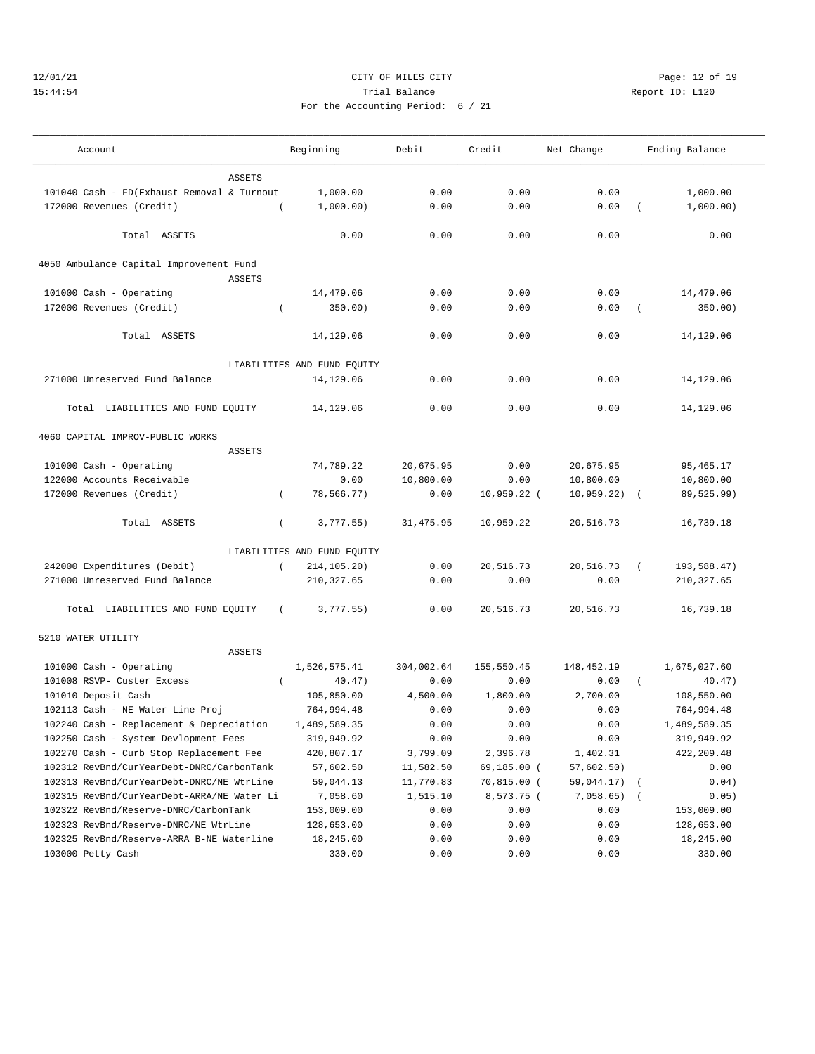## 12/01/21 Page: 12 of 19 15:44:54 Trial Balance Report ID: L120 For the Accounting Period: 6 / 21

| Account                                    |               | Beginning                   | Debit      | Credit        | Net Change   |          | Ending Balance |
|--------------------------------------------|---------------|-----------------------------|------------|---------------|--------------|----------|----------------|
|                                            | <b>ASSETS</b> |                             |            |               |              |          |                |
| 101040 Cash - FD(Exhaust Removal & Turnout |               | 1,000.00                    | 0.00       | 0.00          | 0.00         |          | 1,000.00       |
| 172000 Revenues (Credit)                   |               | 1,000.00)                   | 0.00       | 0.00          | 0.00         |          | 1,000.00)      |
|                                            |               |                             |            |               |              |          |                |
| Total ASSETS                               |               | 0.00                        | 0.00       | 0.00          | 0.00         |          | 0.00           |
| 4050 Ambulance Capital Improvement Fund    |               |                             |            |               |              |          |                |
|                                            | <b>ASSETS</b> |                             |            |               |              |          |                |
| 101000 Cash - Operating                    |               | 14,479.06                   | 0.00       | 0.00          | 0.00         |          | 14,479.06      |
| 172000 Revenues (Credit)                   | $\left($      | 350.00)                     | 0.00       | 0.00          | 0.00         |          | 350.00)        |
|                                            |               |                             |            |               |              |          |                |
| Total ASSETS                               |               | 14,129.06                   | 0.00       | 0.00          | 0.00         |          | 14,129.06      |
|                                            |               | LIABILITIES AND FUND EQUITY |            |               |              |          |                |
| 271000 Unreserved Fund Balance             |               | 14,129.06                   | 0.00       | 0.00          | 0.00         |          | 14,129.06      |
| Total LIABILITIES AND FUND EQUITY          |               | 14,129.06                   | 0.00       | 0.00          | 0.00         |          | 14,129.06      |
| 4060 CAPITAL IMPROV-PUBLIC WORKS           |               |                             |            |               |              |          |                |
|                                            | <b>ASSETS</b> |                             |            |               |              |          |                |
| 101000 Cash - Operating                    |               | 74,789.22                   | 20,675.95  | 0.00          | 20,675.95    |          | 95, 465.17     |
| 122000 Accounts Receivable                 |               | 0.00                        | 10,800.00  | 0.00          | 10,800.00    |          | 10,800.00      |
| 172000 Revenues (Credit)                   | $\left($      | 78,566.77)                  | 0.00       | $10,959.22$ ( | 10,959.22)   | $\left($ | 89,525.99)     |
| Total ASSETS                               | $\left($      | 3,777.55)                   | 31, 475.95 | 10,959.22     | 20,516.73    |          | 16,739.18      |
|                                            |               | LIABILITIES AND FUND EQUITY |            |               |              |          |                |
| 242000 Expenditures (Debit)                | $\left($      | 214,105.20)                 | 0.00       | 20,516.73     | 20,516.73    | $\left($ | 193,588.47)    |
| 271000 Unreserved Fund Balance             |               | 210,327.65                  | 0.00       | 0.00          | 0.00         |          | 210,327.65     |
| Total LIABILITIES AND FUND EQUITY          | $\left($      | 3,777.55)                   | 0.00       | 20,516.73     | 20,516.73    |          | 16,739.18      |
| 5210 WATER UTILITY                         |               |                             |            |               |              |          |                |
|                                            | <b>ASSETS</b> |                             |            |               |              |          |                |
| 101000 Cash - Operating                    |               | 1,526,575.41                | 304,002.64 | 155,550.45    | 148,452.19   |          | 1,675,027.60   |
| 101008 RSVP- Custer Excess                 | $\left($      | 40.47)                      | 0.00       | 0.00          | 0.00         | $\left($ | 40.47)         |
| 101010 Deposit Cash                        |               | 105,850.00                  | 4,500.00   | 1,800.00      | 2,700.00     |          | 108,550.00     |
| 102113 Cash - NE Water Line Proj           |               | 764,994.48                  | 0.00       | 0.00          | 0.00         |          | 764,994.48     |
| 102240 Cash - Replacement & Depreciation   |               | 1,489,589.35                | 0.00       | 0.00          | 0.00         |          | 1,489,589.35   |
| 102250 Cash - System Devlopment Fees       |               | 319,949.92                  | 0.00       | 0.00          | 0.00         |          | 319,949.92     |
| 102270 Cash - Curb Stop Replacement Fee    |               | 420,807.17                  | 3,799.09   | 2,396.78      | 1,402.31     |          | 422, 209.48    |
| 102312 RevBnd/CurYearDebt-DNRC/CarbonTank  |               | 57,602.50                   | 11,582.50  | 69,185.00 (   | 57,602.50)   |          | 0.00           |
| 102313 RevBnd/CurYearDebt-DNRC/NE WtrLine  |               | 59,044.13                   | 11,770.83  | 70,815.00 (   | 59,044.17)   |          | 0.04)          |
| 102315 RevBnd/CurYearDebt-ARRA/NE Water Li |               | 7,058.60                    | 1,515.10   | 8,573.75 (    | $7,058.65$ ( |          | 0.05)          |
| 102322 RevBnd/Reserve-DNRC/CarbonTank      |               | 153,009.00                  | 0.00       | 0.00          | 0.00         |          | 153,009.00     |
| 102323 RevBnd/Reserve-DNRC/NE WtrLine      |               | 128,653.00                  | 0.00       | 0.00          | 0.00         |          | 128,653.00     |
| 102325 RevBnd/Reserve-ARRA B-NE Waterline  |               | 18,245.00                   | 0.00       | 0.00          | 0.00         |          | 18,245.00      |
| 103000 Petty Cash                          |               | 330.00                      | 0.00       | 0.00          | 0.00         |          | 330.00         |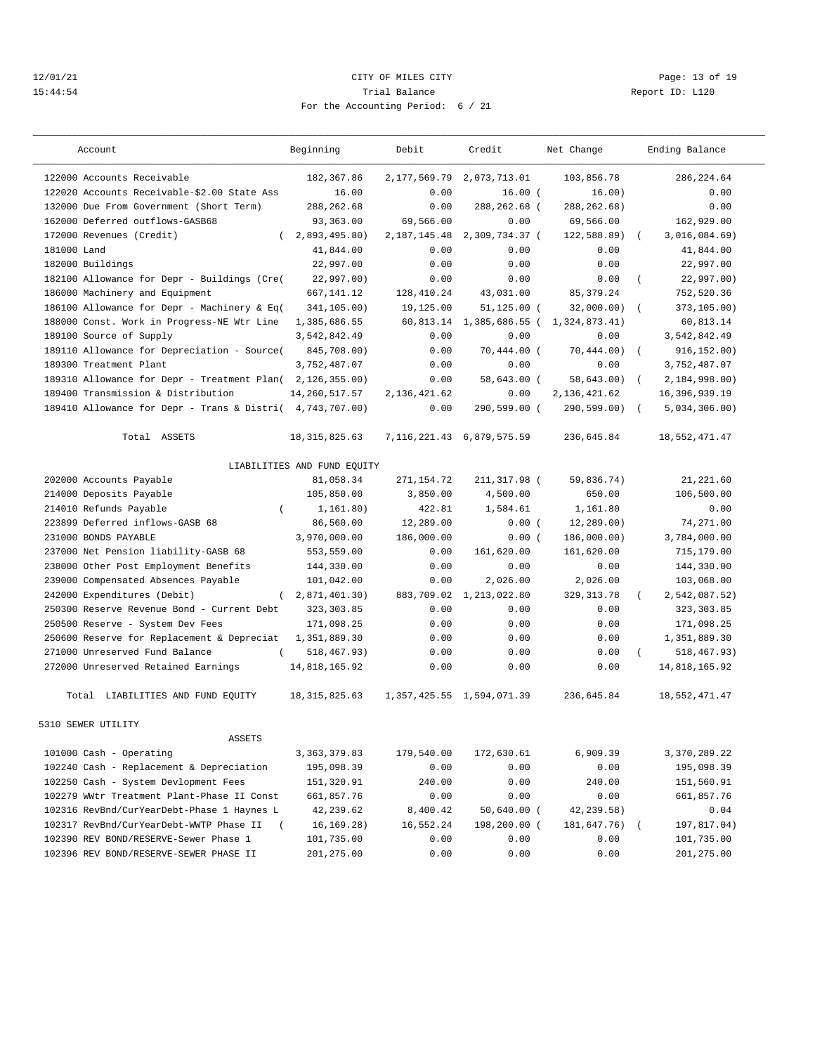## 12/01/21 Page: 13 of 19 15:44:54 Trial Balance Report ID: L120 For the Accounting Period: 6 / 21

———————————————————————————————————————————————————————————————————————————————————————————————————————————————————————————————————

| Account                                                   | Beginning                   | Debit          | Credit                          | Net Change     | Ending Balance              |
|-----------------------------------------------------------|-----------------------------|----------------|---------------------------------|----------------|-----------------------------|
| 122000 Accounts Receivable                                | 182,367.86                  | 2, 177, 569.79 | 2,073,713.01                    | 103,856.78     | 286, 224.64                 |
| 122020 Accounts Receivable-\$2.00 State Ass               | 16.00                       | 0.00           | $16.00$ (                       | 16.00)         | 0.00                        |
| 132000 Due From Government (Short Term)                   | 288, 262.68                 | 0.00           | 288,262.68 (                    | 288, 262.68)   | 0.00                        |
| 162000 Deferred outflows-GASB68                           | 93,363.00                   | 69,566.00      | 0.00                            | 69,566.00      | 162,929.00                  |
| 172000 Revenues (Credit)<br>$\left($                      | 2,893,495.80)               | 2, 187, 145.48 | 2,309,734.37 (                  | 122,588.89)    | 3,016,084.69)               |
| 181000 Land                                               | 41,844.00                   | 0.00           | 0.00                            | 0.00           | 41,844.00                   |
| 182000 Buildings                                          | 22,997.00                   | 0.00           | 0.00                            | 0.00           | 22,997.00                   |
| 182100 Allowance for Depr - Buildings (Cre(               | 22,997.00)                  | 0.00           | 0.00                            | 0.00           | 22,997.00)                  |
| 186000 Machinery and Equipment                            | 667, 141.12                 | 128,410.24     | 43,031.00                       | 85, 379. 24    | 752,520.36                  |
| 186100 Allowance for Depr - Machinery & Eq(               | 341,105.00)                 | 19,125.00      | $51, 125.00$ (                  | 32,000.00)     | 373,105.00)                 |
| 188000 Const. Work in Progress-NE Wtr Line                | 1,385,686.55                | 60,813.14      | 1,385,686.55 (                  | 1,324,873.41)  | 60,813.14                   |
| 189100 Source of Supply                                   | 3,542,842.49                | 0.00           | 0.00                            | 0.00           | 3,542,842.49                |
| 189110 Allowance for Depreciation - Source(               | 845,708.00)                 | 0.00           | 70,444.00 (                     | 70,444.00)     | 916, 152.00)<br>$\sqrt{2}$  |
| 189300 Treatment Plant                                    | 3,752,487.07                | 0.00           | 0.00                            | 0.00           | 3,752,487.07                |
| 189310 Allowance for Depr - Treatment Plan(2,126,355.00)  |                             | 0.00           | 58,643.00 (                     | 58,643.00)     | 2,184,998.00)<br>$\sqrt{2}$ |
| 189400 Transmission & Distribution                        | 14,260,517.57               | 2,136,421.62   | 0.00                            | 2, 136, 421.62 | 16,396,939.19               |
| 189410 Allowance for Depr - Trans & Distri( 4,743,707.00) |                             | 0.00           | 290,599.00 (                    | 290,599.00) (  | 5,034,306.00)               |
| Total ASSETS                                              | 18, 315, 825.63             |                | 7, 116, 221. 43 6, 879, 575. 59 | 236,645.84     | 18,552,471.47               |
|                                                           | LIABILITIES AND FUND EQUITY |                |                                 |                |                             |
| 202000 Accounts Payable                                   | 81,058.34                   | 271, 154.72    | 211,317.98 (                    | 59,836.74)     | 21, 221.60                  |
| 214000 Deposits Payable                                   | 105,850.00                  | 3,850.00       | 4,500.00                        | 650.00         | 106,500.00                  |
| 214010 Refunds Payable<br>$\left($                        | 1, 161.80)                  | 422.81         | 1,584.61                        | 1,161.80       | 0.00                        |
| 223899 Deferred inflows-GASB 68                           | 86,560.00                   | 12,289.00      | 0.00(                           | 12, 289.00)    | 74,271.00                   |
| 231000 BONDS PAYABLE                                      | 3,970,000.00                | 186,000.00     | 0.00(                           | 186,000.00)    | 3,784,000.00                |
| 237000 Net Pension liability-GASB 68                      | 553,559.00                  | 0.00           | 161,620.00                      | 161,620.00     | 715,179.00                  |
| 238000 Other Post Employment Benefits                     | 144,330.00                  | 0.00           | 0.00                            | 0.00           | 144,330.00                  |
| 239000 Compensated Absences Payable                       | 101,042.00                  | 0.00           | 2,026.00                        | 2,026.00       | 103,068.00                  |
| 242000 Expenditures (Debit)                               | (2,871,401.30)              | 883,709.02     | 1,213,022.80                    | 329, 313.78    | 2,542,087.52)               |
| 250300 Reserve Revenue Bond - Current Debt                | 323, 303.85                 | 0.00           | 0.00                            | 0.00           | 323, 303.85                 |
| 250500 Reserve - System Dev Fees                          | 171,098.25                  | 0.00           | 0.00                            | 0.00           | 171,098.25                  |
| 250600 Reserve for Replacement & Depreciat                | 1,351,889.30                | 0.00           | 0.00                            | 0.00           | 1,351,889.30                |
| 271000 Unreserved Fund Balance<br>$\left($                | 518, 467.93)                | 0.00           | 0.00                            | 0.00           | 518,467.93)<br>$\left($     |
| 272000 Unreserved Retained Earnings                       | 14,818,165.92               | 0.00           | 0.00                            | 0.00           | 14,818,165.92               |
| Total LIABILITIES AND FUND EQUITY                         | 18, 315, 825.63             |                | 1, 357, 425.55 1, 594, 071.39   | 236,645.84     | 18,552,471.47               |
| 5310 SEWER UTILITY                                        |                             |                |                                 |                |                             |
| ASSETS                                                    |                             |                |                                 |                |                             |
| 101000 Cash - Operating                                   | 3, 363, 379.83              | 179,540.00     | 172,630.61                      | 6,909.39       | 3,370,289.22                |
| 102240 Cash - Replacement & Depreciation                  | 195,098.39                  | 0.00           | 0.00                            | 0.00           | 195,098.39                  |
| 102250 Cash - System Devlopment Fees                      | 151,320.91                  | 240.00         | 0.00                            | 240.00         | 151,560.91                  |
| 102279 WWtr Treatment Plant-Phase II Const                | 661,857.76                  | 0.00           | 0.00                            | 0.00           | 661,857.76                  |
| 102316 RevBnd/CurYearDebt-Phase 1 Haynes L                | 42,239.62                   | 8,400.42       | $50,640.00$ (                   | 42,239.58)     | 0.04                        |
| 102317 RevBnd/CurYearDebt-WWTP Phase II                   | 16, 169. 28)                | 16,552.24      | 198,200.00 (                    | 181,647.76)    | 197,817.04)                 |
| 102390 REV BOND/RESERVE-Sewer Phase 1                     | 101,735.00                  | 0.00           | 0.00                            | 0.00           | 101,735.00                  |

102396 REV BOND/RESERVE-SEWER PHASE II 201,275.00 0.00 0.00 0.00 201,275.00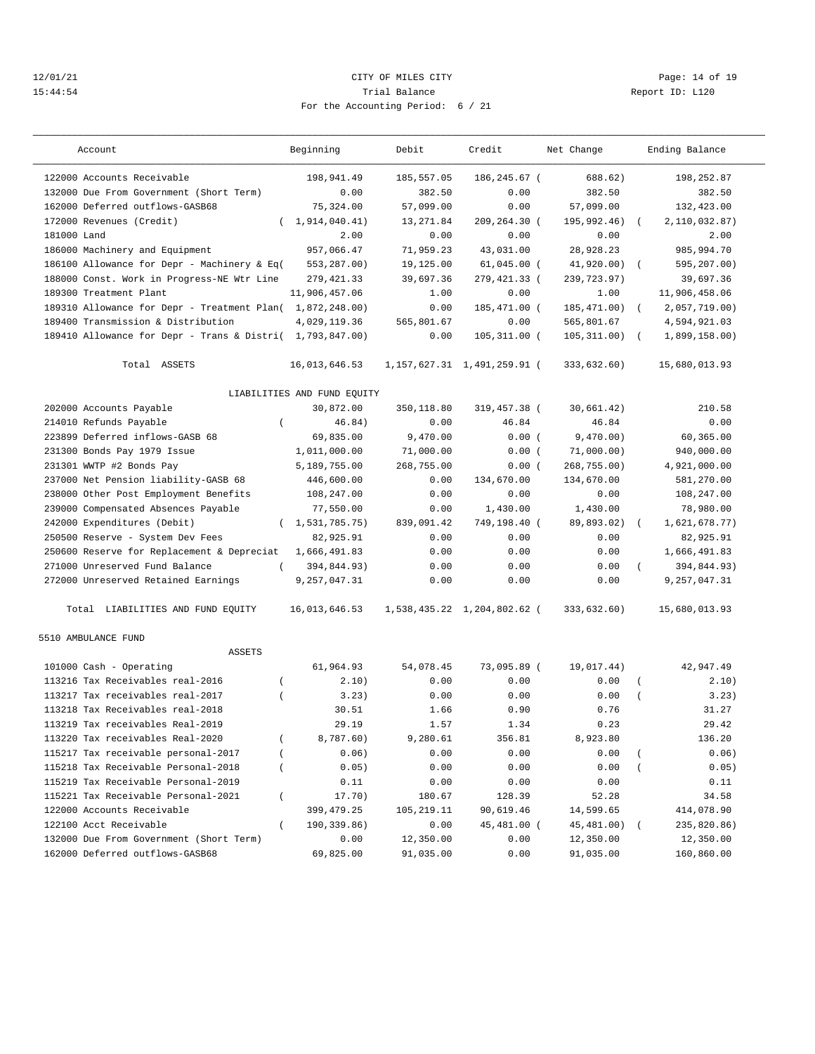## 12/01/21 **CITY OF MILES CITY CITY CITY Page: 14 of 19** 15:44:54 Trial Balance Report ID: L120 For the Accounting Period: 6 / 21

———————————————————————————————————————————————————————————————————————————————————————————————————————————————————————————————————

| $ -$ |  |  |  |
|------|--|--|--|

| Account                                                   | Beginning                   | Debit      | Credit                          | Net Change      | Ending Balance              |
|-----------------------------------------------------------|-----------------------------|------------|---------------------------------|-----------------|-----------------------------|
| 122000 Accounts Receivable                                | 198,941.49                  | 185,557.05 | 186,245.67 (                    | 688.62)         | 198,252.87                  |
| 132000 Due From Government (Short Term)                   | 0.00                        | 382.50     | 0.00                            | 382.50          | 382.50                      |
| 162000 Deferred outflows-GASB68                           | 75,324.00                   | 57,099.00  | 0.00                            | 57,099.00       | 132,423.00                  |
| 172000 Revenues (Credit)                                  | (1, 914, 040.41)            | 13,271.84  | 209,264.30 (                    | 195,992.46) (   | 2,110,032.87)               |
| 181000 Land                                               | 2.00                        | 0.00       | 0.00                            | 0.00            | 2.00                        |
| 186000 Machinery and Equipment                            | 957,066.47                  | 71,959.23  | 43,031.00                       | 28,928.23       | 985,994.70                  |
| 186100 Allowance for Depr - Machinery & Eq(               | 553,287.00)                 | 19,125.00  | $61,045.00$ (                   | $41,920.00)$ (  | 595,207.00)                 |
| 188000 Const. Work in Progress-NE Wtr Line                | 279, 421.33                 | 39,697.36  | 279,421.33 (                    | 239,723.97)     | 39,697.36                   |
| 189300 Treatment Plant                                    | 11,906,457.06               | 1.00       | 0.00                            | 1.00            | 11,906,458.06               |
| 189310 Allowance for Depr - Treatment Plan( 1,872,248.00) |                             | 0.00       | 185,471.00 (                    | $185, 471.00$ ( | 2,057,719.00)               |
| 189400 Transmission & Distribution                        | 4,029,119.36                | 565,801.67 | 0.00                            | 565,801.67      | 4,594,921.03                |
| 189410 Allowance for Depr - Trans & Distri( 1,793,847.00) |                             | 0.00       | $105, 311.00$ (                 | $105, 311.00$ ( | 1,899,158.00)               |
| Total ASSETS                                              | 16,013,646.53               |            | 1, 157, 627.31 1, 491, 259.91 ( | 333,632.60)     | 15,680,013.93               |
|                                                           | LIABILITIES AND FUND EQUITY |            |                                 |                 |                             |
| 202000 Accounts Payable                                   | 30,872.00                   | 350,118.80 | 319,457.38 (                    | 30,661.42)      | 210.58                      |
| 214010 Refunds Payable<br>$\left($                        | 46.84)                      | 0.00       | 46.84                           | 46.84           | 0.00                        |
| 223899 Deferred inflows-GASB 68                           | 69,835.00                   | 9,470.00   | 0.00(                           | 9,470.00)       | 60,365.00                   |
| 231300 Bonds Pay 1979 Issue                               | 1,011,000.00                | 71,000.00  | 0.00(                           | 71,000.00)      | 940,000.00                  |
| 231301 WWTP #2 Bonds Pay                                  | 5,189,755.00                | 268,755.00 | 0.00(                           | 268,755.00)     | 4,921,000.00                |
| 237000 Net Pension liability-GASB 68                      | 446,600.00                  | 0.00       | 134,670.00                      | 134,670.00      | 581,270.00                  |
| 238000 Other Post Employment Benefits                     | 108,247.00                  | 0.00       | 0.00                            | 0.00            | 108,247.00                  |
| 239000 Compensated Absences Payable                       | 77,550.00                   | 0.00       | 1,430.00                        | 1,430.00        | 78,980.00                   |
| 242000 Expenditures (Debit)                               | (1, 531, 785.75)            | 839,091.42 | 749,198.40 (                    | 89,893.02)      | 1,621,678.77)<br>$\sqrt{2}$ |
| 250500 Reserve - System Dev Fees                          | 82,925.91                   | 0.00       | 0.00                            | 0.00            | 82,925.91                   |
| 250600 Reserve for Replacement & Depreciat                | 1,666,491.83                | 0.00       | 0.00                            | 0.00            | 1,666,491.83                |
| 271000 Unreserved Fund Balance<br>$\left($                | 394,844.93)                 | 0.00       | 0.00                            | 0.00            | 394,844.93)<br>$\left($     |
| 272000 Unreserved Retained Earnings                       | 9,257,047.31                | 0.00       | 0.00                            | 0.00            | 9,257,047.31                |
| Total LIABILITIES AND FUND EQUITY                         | 16,013,646.53               |            | 1,538,435.22 1,204,802.62 (     | 333,632.60)     | 15,680,013.93               |
| 5510 AMBULANCE FUND                                       |                             |            |                                 |                 |                             |
| ASSETS                                                    |                             |            |                                 |                 |                             |
| 101000 Cash - Operating                                   | 61,964.93                   | 54,078.45  | 73,095.89 (                     | 19,017.44)      | 42,947.49                   |
| 113216 Tax Receivables real-2016<br>$\left($              | 2.10)                       | 0.00       | 0.00                            | 0.00            | 2.10)<br>$\left($           |
| 113217 Tax receivables real-2017<br>$\left($              | 3.23)                       | 0.00       | 0.00                            | 0.00            | 3.23)<br>$\overline{(\ }$   |
| 113218 Tax Receivables real-2018                          | 30.51                       | 1.66       | 0.90                            | 0.76            | 31.27                       |
| 113219 Tax receivables Real-2019                          | 29.19                       | 1.57       | 1.34                            | 0.23            | 29.42                       |
| 113220 Tax receivables Real-2020                          | 8,787.60)                   | 9,280.61   | 356.81                          | 8,923.80        | 136.20                      |
| 115217 Tax receivable personal-2017                       | 0.06)                       | 0.00       | 0.00                            | 0.00            | 0.06)                       |
| 115218 Tax Receivable Personal-2018                       | 0.05)                       | 0.00       | 0.00                            | 0.00            | 0.05)                       |
| 115219 Tax Receivable Personal-2019                       | 0.11                        | 0.00       | 0.00                            | 0.00            | 0.11                        |
| 115221 Tax Receivable Personal-2021<br>$\left($           | 17.70)                      | 180.67     | 128.39                          | 52.28           | 34.58                       |
| 122000 Accounts Receivable                                | 399, 479.25                 | 105,219.11 | 90,619.46                       | 14,599.65       | 414,078.90                  |
| 122100 Acct Receivable<br>$\left($                        | 190,339.86)                 | 0.00       | 45,481.00 (                     | 45,481.00)      | 235,820.86)                 |
| 132000 Due From Government (Short Term)                   | 0.00                        | 12,350.00  | 0.00                            | 12,350.00       | 12,350.00                   |
| 162000 Deferred outflows-GASB68                           | 69,825.00                   | 91,035.00  | 0.00                            | 91,035.00       | 160,860.00                  |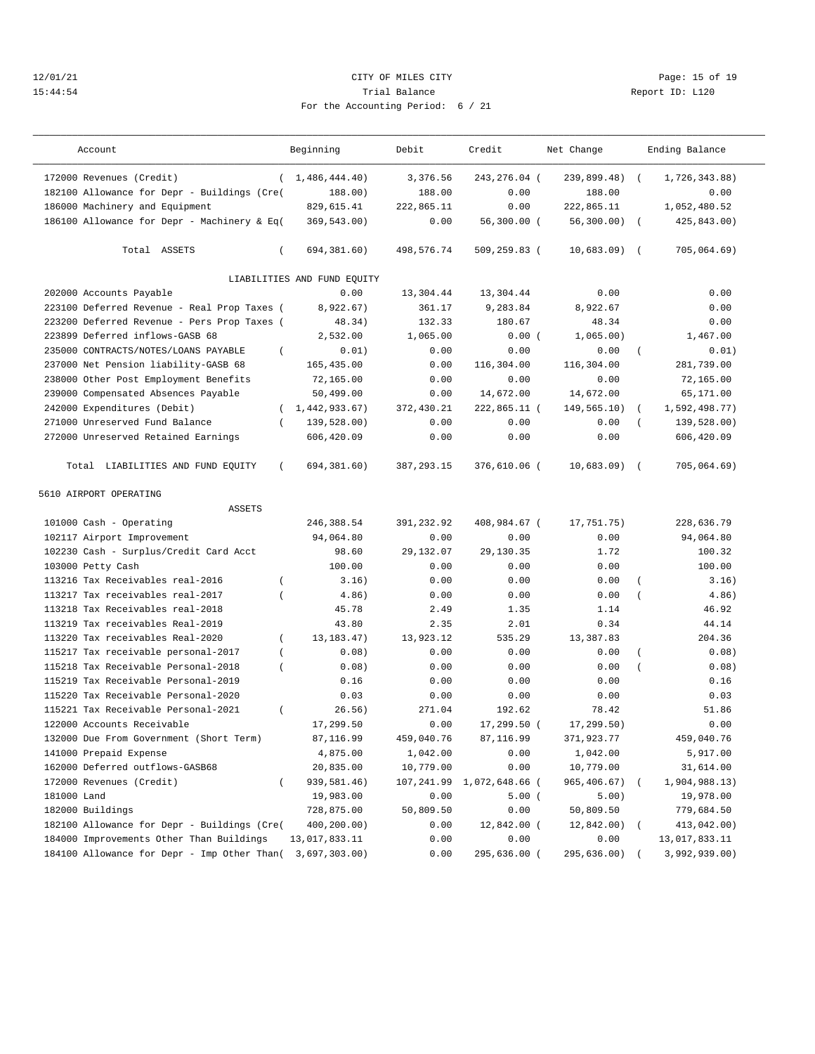## 12/01/21 Page: 15 of 19 15:44:54 Trial Balance Report ID: L120 For the Accounting Period: 6 / 21

| Account                                            | Beginning                   | Debit        | Credit         | Net Change     |                  | Ending Balance |
|----------------------------------------------------|-----------------------------|--------------|----------------|----------------|------------------|----------------|
| 172000 Revenues (Credit)                           | (1, 486, 444.40)            | 3,376.56     | 243,276.04 (   | 239,899.48) (  |                  | 1,726,343.88)  |
| 182100 Allowance for Depr - Buildings (Cre(        | 188.00)                     | 188.00       | 0.00           | 188.00         |                  | 0.00           |
| 186000 Machinery and Equipment                     | 829,615.41                  | 222,865.11   | 0.00           | 222,865.11     |                  | 1,052,480.52   |
| 186100 Allowance for Depr - Machinery & Eq(        | 369,543.00)                 | 0.00         | $56,300.00$ (  | $56,300.00)$ ( |                  | 425,843.00)    |
| Total ASSETS<br>$\left($                           | 694,381.60)                 | 498,576.74   | 509,259.83 (   | $10,683.09$ (  |                  | 705,064.69)    |
|                                                    | LIABILITIES AND FUND EQUITY |              |                |                |                  |                |
| 202000 Accounts Payable                            | 0.00                        | 13,304.44    | 13,304.44      | 0.00           |                  | 0.00           |
| 223100 Deferred Revenue - Real Prop Taxes (        | 8,922.67)                   | 361.17       | 9,283.84       | 8,922.67       |                  | 0.00           |
| 223200 Deferred Revenue - Pers Prop Taxes (        | 48.34)                      | 132.33       | 180.67         | 48.34          |                  | 0.00           |
| 223899 Deferred inflows-GASB 68                    | 2,532.00                    | 1,065.00     | 0.00(          | 1,065.00)      |                  | 1,467.00       |
| 235000 CONTRACTS/NOTES/LOANS PAYABLE<br>$\left($   | 0.01)                       | 0.00         | 0.00           | 0.00           |                  | 0.01)          |
| 237000 Net Pension liability-GASB 68               | 165,435.00                  | 0.00         | 116,304.00     | 116,304.00     |                  | 281,739.00     |
| 238000 Other Post Employment Benefits              | 72,165.00                   | 0.00         | 0.00           | 0.00           |                  | 72,165.00      |
| 239000 Compensated Absences Payable                | 50,499.00                   | 0.00         | 14,672.00      | 14,672.00      |                  | 65,171.00      |
| 242000 Expenditures (Debit)<br>$\left($            | 1,442,933.67)               | 372,430.21   | 222,865.11 (   | 149,565.10)    | $\left($         | 1,592,498.77)  |
| 271000 Unreserved Fund Balance<br>$\left($         | 139,528.00)                 | 0.00         | 0.00           | 0.00           |                  | 139,528.00)    |
| 272000 Unreserved Retained Earnings                | 606,420.09                  | 0.00         | 0.00           | 0.00           |                  | 606,420.09     |
| Total LIABILITIES AND FUND EQUITY<br>$\left($      | 694,381.60)                 | 387, 293. 15 | 376,610.06 (   | $10,683.09$ (  |                  | 705,064.69)    |
| 5610 AIRPORT OPERATING                             |                             |              |                |                |                  |                |
| <b>ASSETS</b>                                      |                             |              |                |                |                  |                |
| 101000 Cash - Operating                            | 246,388.54                  | 391,232.92   | 408,984.67 (   | 17,751.75)     |                  | 228,636.79     |
| 102117 Airport Improvement                         | 94,064.80                   | 0.00         | 0.00           | 0.00           |                  | 94,064.80      |
| 102230 Cash - Surplus/Credit Card Acct             | 98.60                       | 29, 132.07   | 29, 130.35     | 1.72           |                  | 100.32         |
| 103000 Petty Cash                                  | 100.00                      | 0.00         | 0.00           | 0.00           |                  | 100.00         |
| 113216 Tax Receivables real-2016<br>$\left($       | 3.16)                       | 0.00         | 0.00           | 0.00           |                  | 3.16)          |
| 113217 Tax receivables real-2017<br>$\overline{ }$ | 4.86)                       | 0.00         | 0.00           | 0.00           | $\overline{(\ }$ | 4.86)          |
| 113218 Tax Receivables real-2018                   | 45.78                       | 2.49         | 1.35           | 1.14           |                  | 46.92          |
| 113219 Tax receivables Real-2019                   | 43.80                       | 2.35         | 2.01           | 0.34           |                  | 44.14          |
| 113220 Tax receivables Real-2020<br>$\left($       | 13, 183. 47)                | 13,923.12    | 535.29         | 13,387.83      |                  | 204.36         |
| 115217 Tax receivable personal-2017<br>$\left($    | 0.08)                       | 0.00         | 0.00           | 0.00           | $\left($         | 0.08)          |
| 115218 Tax Receivable Personal-2018<br>$\left($    | 0.08)                       | 0.00         | 0.00           | 0.00           | $\overline{(\ }$ | 0.08)          |
| 115219 Tax Receivable Personal-2019                | 0.16                        | 0.00         | 0.00           | 0.00           |                  | 0.16           |
| 115220 Tax Receivable Personal-2020                | 0.03                        | 0.00         | 0.00           | 0.00           |                  | 0.03           |
| 115221 Tax Receivable Personal-2021<br>$\left($    | 26.56)                      | 271.04       | 192.62         | 78.42          |                  | 51.86          |
| 122000 Accounts Receivable                         | 17,299.50                   | 0.00         | 17,299.50 (    | 17, 299.50)    |                  | 0.00           |
| 132000 Due From Government (Short Term)            | 87,116.99                   | 459,040.76   | 87,116.99      | 371,923.77     |                  | 459,040.76     |
| 141000 Prepaid Expense                             | 4,875.00                    | 1,042.00     | 0.00           | 1,042.00       |                  | 5,917.00       |
| 162000 Deferred outflows-GASB68                    | 20,835.00                   | 10,779.00    | 0.00           | 10,779.00      |                  | 31,614.00      |
| 172000 Revenues (Credit)                           | 939,581.46)                 | 107,241.99   | 1,072,648.66 ( | 965,406.67)    |                  | 1,904,988.13)  |
| 181000 Land                                        | 19,983.00                   | 0.00         | 5.00(          | 5.00)          |                  | 19,978.00      |
| 182000 Buildings                                   | 728,875.00                  | 50,809.50    | 0.00           | 50,809.50      |                  | 779,684.50     |
| 182100 Allowance for Depr - Buildings (Cre(        | 400,200.00)                 | 0.00         | 12,842.00 (    | $12,842.00$ (  |                  | 413,042.00)    |
| 184000 Improvements Other Than Buildings           | 13,017,833.11               | 0.00         | 0.00           | 0.00           |                  | 13,017,833.11  |
| 184100 Allowance for Depr - Imp Other Than(        | 3,697,303.00)               | 0.00         | 295,636.00 (   | 295,636.00)    |                  | 3,992,939.00)  |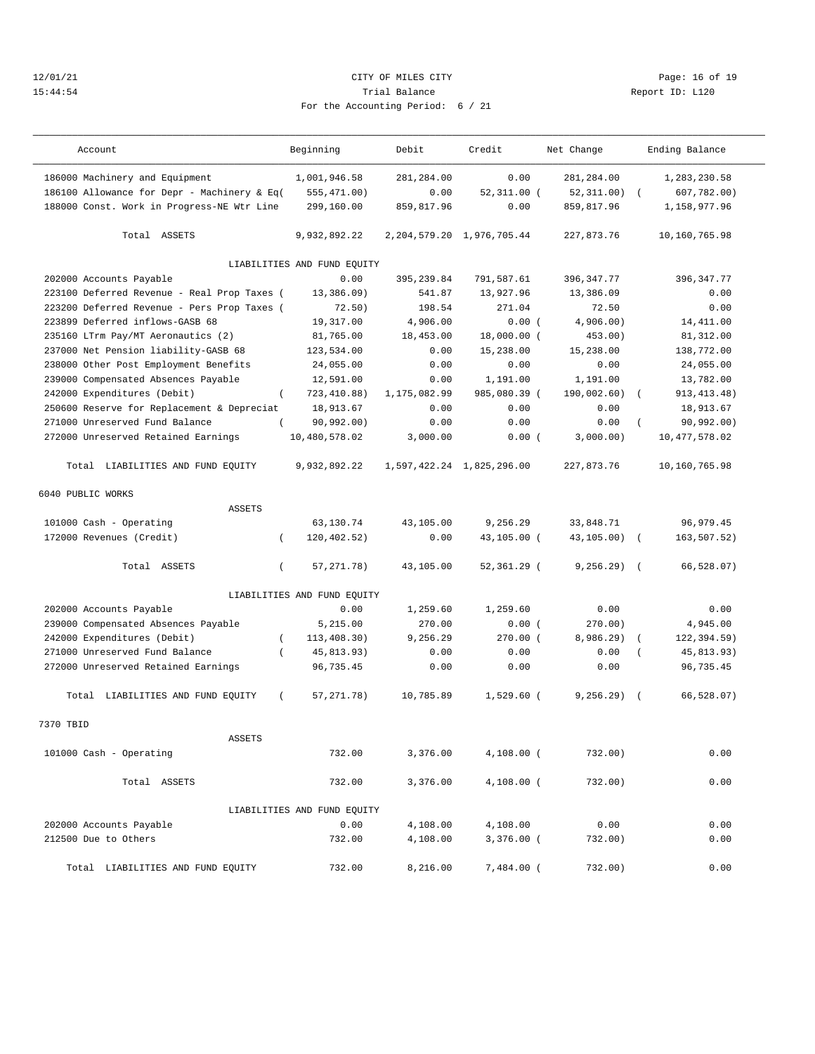## 12/01/21 **CITY OF MILES CITY CITY CITY Page: 16 of 19** 15:44:54 Trial Balance Report ID: L120 For the Accounting Period: 6 / 21

| Account                                       | Beginning                   | Debit           | Credit                    | Net Change     | Ending Balance              |
|-----------------------------------------------|-----------------------------|-----------------|---------------------------|----------------|-----------------------------|
| 186000 Machinery and Equipment                | 1,001,946.58                | 281,284.00      | 0.00                      | 281,284.00     | 1,283,230.58                |
| 186100 Allowance for Depr - Machinery & Eq(   | 555,471.00)                 | 0.00            | $52,311.00$ (             | 52, 311, 00)   | 607,782.00)                 |
| 188000 Const. Work in Progress-NE Wtr Line    | 299,160.00                  | 859,817.96      | 0.00                      | 859, 817, 96   | 1,158,977.96                |
| Total ASSETS                                  | 9,932,892.22                | 2, 204, 579. 20 | 1,976,705.44              | 227,873.76     | 10,160,765.98               |
|                                               | LIABILITIES AND FUND EQUITY |                 |                           |                |                             |
| 202000 Accounts Payable                       | 0.00                        | 395, 239, 84    | 791,587.61                | 396, 347.77    | 396, 347.77                 |
| 223100 Deferred Revenue - Real Prop Taxes (   | 13,386,09                   | 541.87          | 13,927.96                 | 13,386.09      | 0.00                        |
| 223200 Deferred Revenue - Pers Prop Taxes (   | 72.50)                      | 198.54          | 271.04                    | 72.50          | 0.00                        |
| 223899 Deferred inflows-GASB 68               | 19,317.00                   | 4,906.00        | 0.00(                     | 4,906.00)      | 14,411.00                   |
| 235160 LTrm Pay/MT Aeronautics (2)            | 81,765.00                   | 18,453.00       | 18,000.00 (               | 453.00)        | 81, 312.00                  |
| 237000 Net Pension liability-GASB 68          | 123,534.00                  | 0.00            | 15,238.00                 | 15,238.00      | 138,772.00                  |
| 238000 Other Post Employment Benefits         | 24,055.00                   | 0.00            | 0.00                      | 0.00           | 24,055.00                   |
| 239000 Compensated Absences Payable           | 12,591.00                   | 0.00            | 1,191.00                  | 1,191.00       | 13,782.00                   |
| 242000 Expenditures (Debit)<br>$\left($       | 723, 410.88)                | 1,175,082.99    | 985,080.39 (              | 190,002.60)    | 913, 413. 48)<br>$\sqrt{ }$ |
| 250600 Reserve for Replacement & Depreciat    | 18,913.67                   | 0.00            | 0.00                      | 0.00           | 18,913.67                   |
| 271000 Unreserved Fund Balance                | 90, 992, 00)                | 0.00            | 0.00                      | 0.00           | 90,992.00)                  |
| 272000 Unreserved Retained Earnings           | 10,480,578.02               | 3.000.00        | 0.00(                     | 3,000.00)      | 10, 477, 578.02             |
| Total LIABILITIES AND FUND EQUITY             | 9,932,892.22                |                 | 1,597,422.24 1,825,296.00 | 227,873.76     | 10,160,765.98               |
| 6040 PUBLIC WORKS                             |                             |                 |                           |                |                             |
| <b>ASSETS</b>                                 |                             |                 |                           |                |                             |
| 101000 Cash - Operating                       | 63,130.74                   | 43,105.00       | 9,256.29                  | 33,848.71      | 96, 979. 45                 |
| 172000 Revenues (Credit)<br>$\left($          | 120,402.52)                 | 0.00            | 43,105.00 (               | $43, 105.00$ ( | 163,507.52)                 |
| Total ASSETS<br>$\left($                      | 57, 271. 78)                | 43,105.00       | 52,361.29 (               | 9, 256.29)     | 66,528.07)<br>$\sqrt{2}$    |
|                                               | LIABILITIES AND FUND EQUITY |                 |                           |                |                             |
| 202000 Accounts Payable                       | 0.00                        | 1,259.60        | 1,259.60                  | 0.00           | 0.00                        |
| 239000 Compensated Absences Payable           | 5,215.00                    | 270.00          | 0.00(                     | 270.00)        | 4,945.00                    |
| 242000 Expenditures (Debit)<br>$\left($       | 113,408.30)                 | 9,256.29        | $270.00$ $($              | 8,986.29)      | 122,394.59)                 |
| 271000 Unreserved Fund Balance<br>$\left($    | 45,813.93)                  | 0.00            | 0.00                      | 0.00           | 45,813.93)                  |
| 272000 Unreserved Retained Earnings           | 96,735.45                   | 0.00            | 0.00                      | 0.00           | 96,735.45                   |
| Total LIABILITIES AND FUND EQUITY<br>$\left($ | 57, 271. 78)                | 10,785.89       | $1,529.60$ (              | 9, 256.29      | 66.528.07<br>$\sqrt{2}$     |
| 7370 TBID                                     |                             |                 |                           |                |                             |
| ASSETS                                        |                             |                 |                           |                |                             |
| 101000 Cash - Operating                       | 732.00                      | 3,376.00        | 4,108.00 (                | 732.00)        | 0.00                        |
| Total ASSETS                                  | 732.00                      | 3,376.00        | 4,108.00 (                | 732.00)        | 0.00                        |
|                                               | LIABILITIES AND FUND EQUITY |                 |                           |                |                             |
| 202000 Accounts Payable                       | 0.00                        | 4,108.00        | 4,108.00                  | 0.00           | 0.00                        |
| 212500 Due to Others                          | 732.00                      | 4,108.00        | $3,376.00$ (              | 732.00)        | 0.00                        |
| Total LIABILITIES AND FUND EQUITY             | 732.00                      | 8,216.00        | $7,484.00$ (              | 732.00)        | 0.00                        |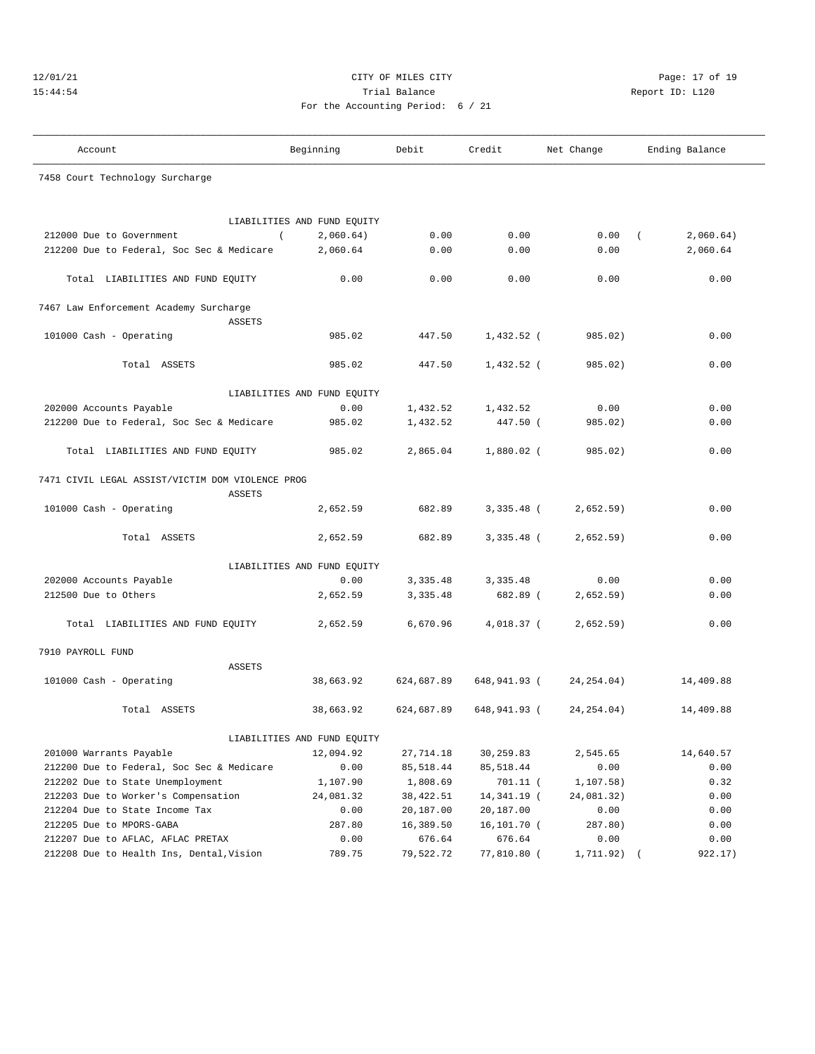## 12/01/21 **CITY OF MILES CITY CITY CITY Page: 17 of 19** 15:44:54 Trial Balance Report ID: L120 For the Accounting Period: 6 / 21

| Account                                          |               | Beginning                   | Debit      | Credit       | Net Change  | Ending Balance        |
|--------------------------------------------------|---------------|-----------------------------|------------|--------------|-------------|-----------------------|
| 7458 Court Technology Surcharge                  |               |                             |            |              |             |                       |
|                                                  |               |                             |            |              |             |                       |
|                                                  |               |                             |            |              |             |                       |
|                                                  |               | LIABILITIES AND FUND EQUITY |            |              |             |                       |
| 212000 Due to Government                         | $\left($      | 2,060.64)                   | 0.00       | 0.00         | 0.00        | 2,060.64)<br>$\left($ |
| 212200 Due to Federal, Soc Sec & Medicare        |               | 2,060.64                    | 0.00       | 0.00         | 0.00        | 2,060.64              |
| Total LIABILITIES AND FUND EQUITY                |               | 0.00                        | 0.00       | 0.00         | 0.00        | 0.00                  |
| 7467 Law Enforcement Academy Surcharge           |               |                             |            |              |             |                       |
|                                                  | <b>ASSETS</b> |                             |            |              |             |                       |
| 101000 Cash - Operating                          |               | 985.02                      | 447.50     | 1,432.52 (   | 985.02)     | 0.00                  |
|                                                  |               |                             |            |              |             |                       |
| Total ASSETS                                     |               | 985.02                      | 447.50     | 1,432.52 (   | 985.02)     | 0.00                  |
|                                                  |               | LIABILITIES AND FUND EQUITY |            |              |             |                       |
| 202000 Accounts Payable                          |               | 0.00                        | 1,432.52   | 1,432.52     | 0.00        | 0.00                  |
| 212200 Due to Federal, Soc Sec & Medicare        |               | 985.02                      | 1,432.52   | 447.50 (     | 985.02)     | 0.00                  |
|                                                  |               |                             |            |              |             |                       |
| Total LIABILITIES AND FUND EQUITY                |               | 985.02                      | 2,865.04   | $1,880.02$ ( | 985.02)     | 0.00                  |
| 7471 CIVIL LEGAL ASSIST/VICTIM DOM VIOLENCE PROG |               |                             |            |              |             |                       |
|                                                  | <b>ASSETS</b> |                             |            |              |             |                       |
| 101000 Cash - Operating                          |               | 2,652.59                    | 682.89     | $3,335.48$ ( | 2,652.59)   | 0.00                  |
|                                                  |               |                             |            |              |             |                       |
| Total ASSETS                                     |               | 2,652.59                    | 682.89     | $3,335.48$ ( | 2,652.59)   | 0.00                  |
|                                                  |               | LIABILITIES AND FUND EQUITY |            |              |             |                       |
| 202000 Accounts Payable                          |               | 0.00                        | 3,335.48   | 3,335.48     | 0.00        | 0.00                  |
| 212500 Due to Others                             |               | 2,652.59                    | 3,335.48   | 682.89 (     | 2,652.59)   | 0.00                  |
|                                                  |               |                             |            |              |             |                       |
| Total LIABILITIES AND FUND EQUITY                |               | 2,652.59                    | 6,670.96   | 4,018.37 (   | 2,652.59)   | 0.00                  |
| 7910 PAYROLL FUND                                |               |                             |            |              |             |                       |
|                                                  | <b>ASSETS</b> |                             |            |              |             |                       |
| 101000 Cash - Operating                          |               | 38,663.92                   | 624,687.89 | 648,941.93 ( | 24, 254.04) | 14,409.88             |
|                                                  |               |                             |            |              |             |                       |
| Total ASSETS                                     |               | 38,663.92                   | 624,687.89 | 648,941.93 ( | 24, 254.04) | 14,409.88             |
|                                                  |               | LIABILITIES AND FUND EQUITY |            |              |             |                       |
| 201000 Warrants Payable                          |               | 12,094.92                   | 27,714.18  | 30,259.83    | 2,545.65    | 14,640.57             |
| 212200 Due to Federal, Soc Sec & Medicare        |               | 0.00                        | 85,518.44  | 85, 518.44   | 0.00        | 0.00                  |
| 212202 Due to State Unemployment                 |               | 1,107.90                    | 1,808.69   | $701.11$ (   | 1,107.58)   | 0.32                  |
| 212203 Due to Worker's Compensation              |               | 24,081.32                   | 38,422.51  | 14,341.19 (  | 24,081.32)  | 0.00                  |
| 212204 Due to State Income Tax                   |               | 0.00                        | 20,187.00  | 20,187.00    | 0.00        | 0.00                  |
| 212205 Due to MPORS-GABA                         |               | 287.80                      | 16,389.50  | 16,101.70 (  | 287.80)     | 0.00                  |
| 212207 Due to AFLAC, AFLAC PRETAX                |               | 0.00                        | 676.64     | 676.64       | 0.00        | 0.00                  |
| 212208 Due to Health Ins, Dental, Vision         |               | 789.75                      | 79,522.72  | 77,810.80 (  | 1,711.92)   | 922.17)               |
|                                                  |               |                             |            |              |             |                       |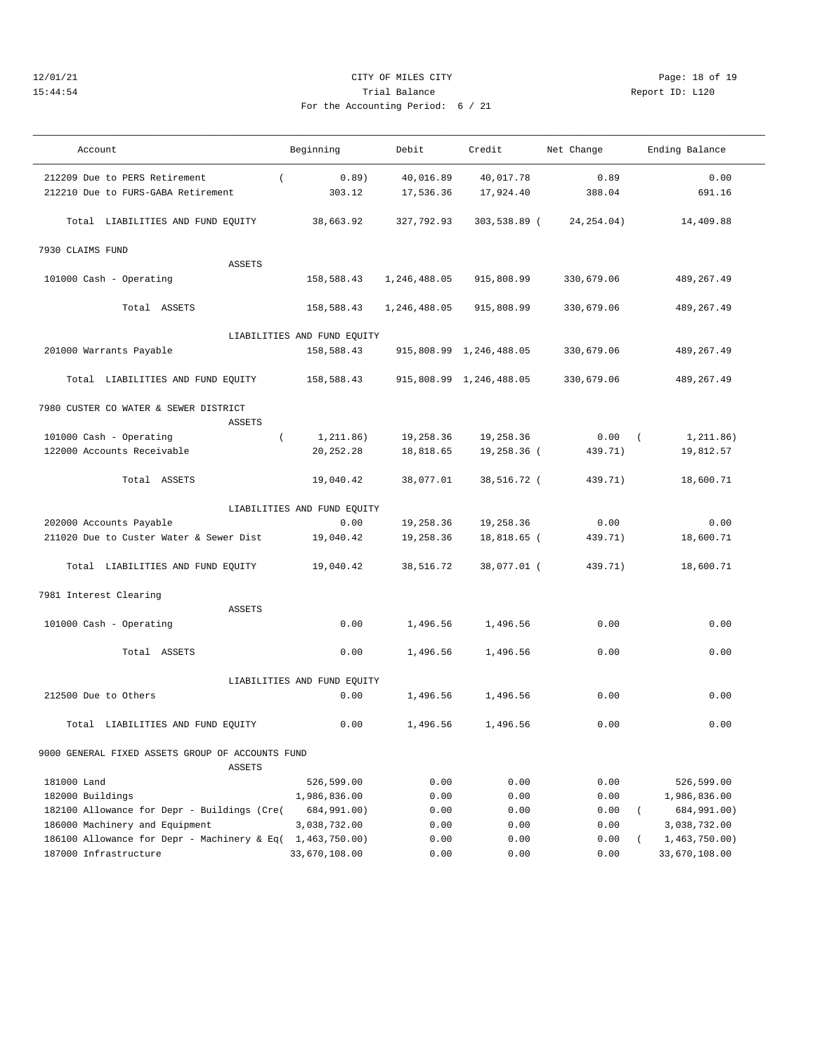## 12/01/21 **CITY OF MILES CITY CITY CITY Page: 18 of 19** 15:44:54 Trial Balance Report ID: L120 For the Accounting Period: 6 / 21

| Account                                                           | Beginning                   | Debit        | Credit                  | Net Change  | Ending Balance              |
|-------------------------------------------------------------------|-----------------------------|--------------|-------------------------|-------------|-----------------------------|
| 212209 Due to PERS Retirement<br>$\left($                         | 0.89)                       | 40,016.89    | 40,017.78               | 0.89        | 0.00                        |
| 212210 Due to FURS-GABA Retirement                                | 303.12                      | 17,536.36    | 17,924.40               | 388.04      | 691.16                      |
|                                                                   |                             |              |                         |             |                             |
| Total LIABILITIES AND FUND EQUITY                                 | 38,663.92                   | 327,792.93   | 303,538.89 (            | 24, 254.04) | 14,409.88                   |
| 7930 CLAIMS FUND                                                  |                             |              |                         |             |                             |
| <b>ASSETS</b>                                                     |                             |              |                         |             |                             |
| 101000 Cash - Operating                                           | 158,588.43                  | 1,246,488.05 | 915,808.99              | 330,679.06  | 489, 267.49                 |
| Total ASSETS                                                      | 158,588.43                  | 1,246,488.05 | 915,808.99              | 330,679.06  | 489,267.49                  |
|                                                                   | LIABILITIES AND FUND EQUITY |              |                         |             |                             |
| 201000 Warrants Payable                                           | 158,588.43                  |              | 915,808.99 1,246,488.05 | 330,679.06  | 489, 267.49                 |
|                                                                   |                             |              |                         |             |                             |
| Total LIABILITIES AND FUND EQUITY                                 | 158,588.43                  |              | 915,808.99 1,246,488.05 | 330,679.06  | 489,267.49                  |
| 7980 CUSTER CO WATER & SEWER DISTRICT                             |                             |              |                         |             |                             |
| <b>ASSETS</b>                                                     |                             |              |                         |             |                             |
| 101000 Cash - Operating<br>$\left($                               | 1, 211.86)                  | 19,258.36    | 19,258.36               | 0.00        | 1, 211.86)<br>$\left($      |
| 122000 Accounts Receivable                                        | 20, 252. 28                 | 18,818.65    | 19,258.36 (             | 439.71)     | 19,812.57                   |
|                                                                   |                             |              |                         |             |                             |
| Total ASSETS                                                      | 19,040.42                   | 38,077.01    | 38,516.72 (             | 439.71)     | 18,600.71                   |
|                                                                   | LIABILITIES AND FUND EQUITY |              |                         |             |                             |
| 202000 Accounts Payable                                           | 0.00                        | 19,258.36    | 19,258.36               | 0.00        | 0.00                        |
| 211020 Due to Custer Water & Sewer Dist                           | 19,040.42                   | 19,258.36    | 18,818.65 (             | 439.71)     | 18,600.71                   |
|                                                                   |                             |              |                         |             |                             |
| Total LIABILITIES AND FUND EQUITY                                 | 19,040.42                   | 38,516.72    | 38,077.01 (             | 439.71)     | 18,600.71                   |
| 7981 Interest Clearing                                            |                             |              |                         |             |                             |
| <b>ASSETS</b>                                                     |                             |              |                         |             |                             |
| 101000 Cash - Operating                                           | 0.00                        | 1,496.56     | 1,496.56                | 0.00        | 0.00                        |
|                                                                   |                             |              |                         |             |                             |
| Total ASSETS                                                      | 0.00                        | 1,496.56     | 1,496.56                | 0.00        | 0.00                        |
|                                                                   | LIABILITIES AND FUND EQUITY |              |                         |             |                             |
| 212500 Due to Others                                              | 0.00                        | 1,496.56     | 1,496.56                | 0.00        | 0.00                        |
| Total LIABILITIES AND FUND EQUITY                                 | 0.00                        | 1,496.56     | 1,496.56                | 0.00        | 0.00                        |
|                                                                   |                             |              |                         |             |                             |
| 9000 GENERAL FIXED ASSETS GROUP OF ACCOUNTS FUND<br><b>ASSETS</b> |                             |              |                         |             |                             |
| 181000 Land                                                       | 526,599.00                  | 0.00         | 0.00                    | 0.00        | 526,599.00                  |
| 182000 Buildings                                                  | 1,986,836.00                | 0.00         | 0.00                    | 0.00        | 1,986,836.00                |
| 182100 Allowance for Depr - Buildings (Cre(                       | 684,991.00)                 | 0.00         | 0.00                    | 0.00        | 684,991.00)<br><sup>-</sup> |
| 186000 Machinery and Equipment                                    | 3,038,732.00                | 0.00         | 0.00                    | 0.00        | 3,038,732.00                |
| 186100 Allowance for Depr - Machinery & Eq(                       | 1,463,750.00)               | 0.00         | 0.00                    | 0.00        | 1,463,750.00)               |
| 187000 Infrastructure                                             | 33,670,108.00               | 0.00         | 0.00                    | 0.00        | 33,670,108.00               |
|                                                                   |                             |              |                         |             |                             |